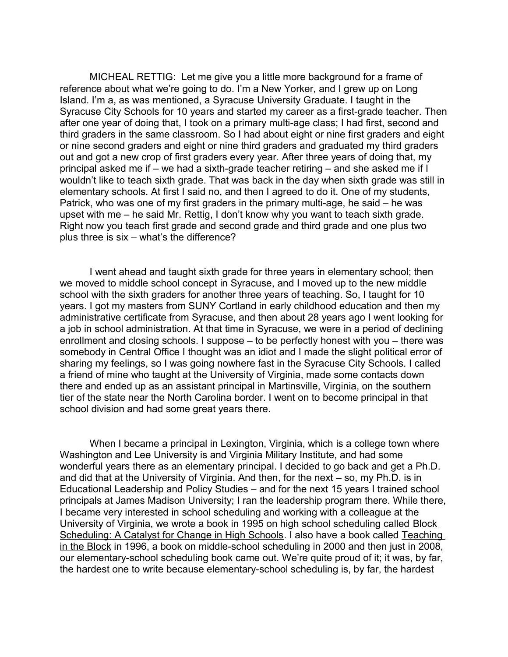MICHEAL RETTIG: Let me give you a little more background for a frame of reference about what we're going to do. I'm a New Yorker, and I grew up on Long Island. I'm a, as was mentioned, a Syracuse University Graduate. I taught in the Syracuse City Schools for 10 years and started my career as a first-grade teacher. Then after one year of doing that, I took on a primary multi-age class; I had first, second and third graders in the same classroom. So I had about eight or nine first graders and eight or nine second graders and eight or nine third graders and graduated my third graders out and got a new crop of first graders every year. After three years of doing that, my principal asked me if – we had a sixth-grade teacher retiring – and she asked me if I wouldn't like to teach sixth grade. That was back in the day when sixth grade was still in elementary schools. At first I said no, and then I agreed to do it. One of my students, Patrick, who was one of my first graders in the primary multi-age, he said – he was upset with me – he said Mr. Rettig, I don't know why you want to teach sixth grade. Right now you teach first grade and second grade and third grade and one plus two plus three is six – what's the difference?

I went ahead and taught sixth grade for three years in elementary school; then we moved to middle school concept in Syracuse, and I moved up to the new middle school with the sixth graders for another three years of teaching. So, I taught for 10 years. I got my masters from SUNY Cortland in early childhood education and then my administrative certificate from Syracuse, and then about 28 years ago I went looking for a job in school administration. At that time in Syracuse, we were in a period of declining enrollment and closing schools. I suppose – to be perfectly honest with you – there was somebody in Central Office I thought was an idiot and I made the slight political error of sharing my feelings, so I was going nowhere fast in the Syracuse City Schools. I called a friend of mine who taught at the University of Virginia, made some contacts down there and ended up as an assistant principal in Martinsville, Virginia, on the southern tier of the state near the North Carolina border. I went on to become principal in that school division and had some great years there.

When I became a principal in Lexington, Virginia, which is a college town where Washington and Lee University is and Virginia Military Institute, and had some wonderful years there as an elementary principal. I decided to go back and get a Ph.D. and did that at the University of Virginia. And then, for the next – so, my Ph.D. is in Educational Leadership and Policy Studies – and for the next 15 years I trained school principals at James Madison University; I ran the leadership program there. While there, I became very interested in school scheduling and working with a colleague at the University of Virginia, we wrote a book in 1995 on high school scheduling called **Block** Scheduling: A Catalyst for Change in High Schools. I also have a book called Teaching in the Block in 1996, a book on middle-school scheduling in 2000 and then just in 2008, our elementary-school scheduling book came out. We're quite proud of it; it was, by far, the hardest one to write because elementary-school scheduling is, by far, the hardest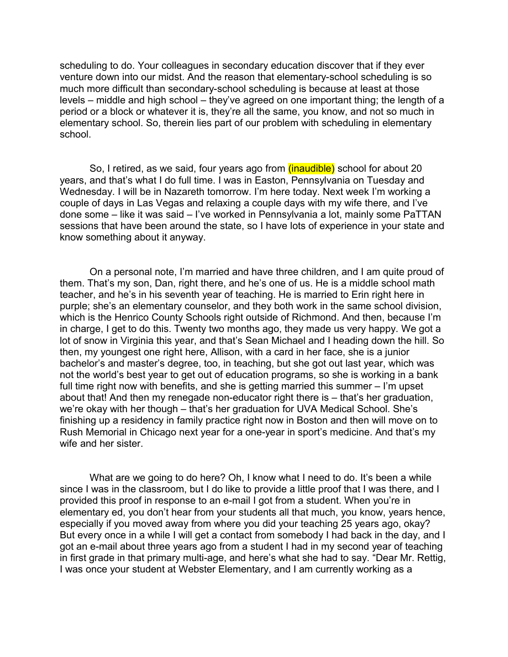scheduling to do. Your colleagues in secondary education discover that if they ever venture down into our midst. And the reason that elementary-school scheduling is so much more difficult than secondary-school scheduling is because at least at those levels – middle and high school – they've agreed on one important thing; the length of a period or a block or whatever it is, they're all the same, you know, and not so much in elementary school. So, therein lies part of our problem with scheduling in elementary school.

So, I retired, as we said, four years ago from *(inaudible)* school for about 20 years, and that's what I do full time. I was in Easton, Pennsylvania on Tuesday and Wednesday. I will be in Nazareth tomorrow. I'm here today. Next week I'm working a couple of days in Las Vegas and relaxing a couple days with my wife there, and I've done some – like it was said – I've worked in Pennsylvania a lot, mainly some PaTTAN sessions that have been around the state, so I have lots of experience in your state and know something about it anyway.

On a personal note, I'm married and have three children, and I am quite proud of them. That's my son, Dan, right there, and he's one of us. He is a middle school math teacher, and he's in his seventh year of teaching. He is married to Erin right here in purple; she's an elementary counselor, and they both work in the same school division, which is the Henrico County Schools right outside of Richmond. And then, because I'm in charge, I get to do this. Twenty two months ago, they made us very happy. We got a lot of snow in Virginia this year, and that's Sean Michael and I heading down the hill. So then, my youngest one right here, Allison, with a card in her face, she is a junior bachelor's and master's degree, too, in teaching, but she got out last year, which was not the world's best year to get out of education programs, so she is working in a bank full time right now with benefits, and she is getting married this summer – I'm upset about that! And then my renegade non-educator right there is – that's her graduation, we're okay with her though – that's her graduation for UVA Medical School. She's finishing up a residency in family practice right now in Boston and then will move on to Rush Memorial in Chicago next year for a one-year in sport's medicine. And that's my wife and her sister.

What are we going to do here? Oh, I know what I need to do. It's been a while since I was in the classroom, but I do like to provide a little proof that I was there, and I provided this proof in response to an e-mail I got from a student. When you're in elementary ed, you don't hear from your students all that much, you know, years hence, especially if you moved away from where you did your teaching 25 years ago, okay? But every once in a while I will get a contact from somebody I had back in the day, and I got an e-mail about three years ago from a student I had in my second year of teaching in first grade in that primary multi-age, and here's what she had to say. "Dear Mr. Rettig, I was once your student at Webster Elementary, and I am currently working as a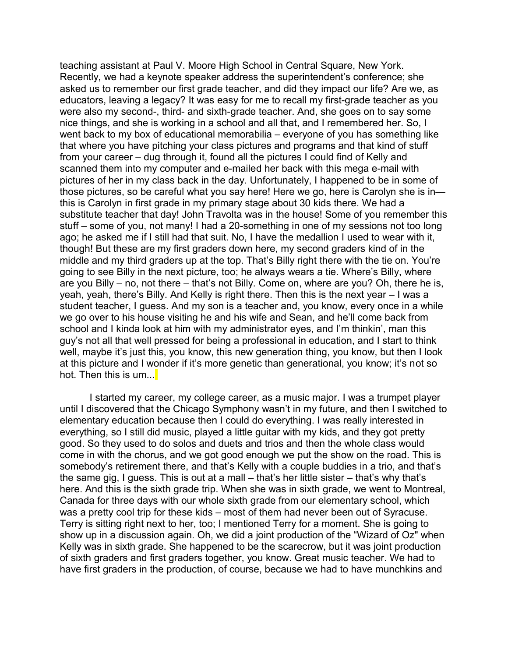teaching assistant at Paul V. Moore High School in Central Square, New York. Recently, we had a keynote speaker address the superintendent's conference; she asked us to remember our first grade teacher, and did they impact our life? Are we, as educators, leaving a legacy? It was easy for me to recall my first-grade teacher as you were also my second-, third- and sixth-grade teacher. And, she goes on to say some nice things, and she is working in a school and all that, and I remembered her. So, I went back to my box of educational memorabilia – everyone of you has something like that where you have pitching your class pictures and programs and that kind of stuff from your career – dug through it, found all the pictures I could find of Kelly and scanned them into my computer and e-mailed her back with this mega e-mail with pictures of her in my class back in the day. Unfortunately, I happened to be in some of those pictures, so be careful what you say here! Here we go, here is Carolyn she is in this is Carolyn in first grade in my primary stage about 30 kids there. We had a substitute teacher that day! John Travolta was in the house! Some of you remember this stuff – some of you, not many! I had a 20-something in one of my sessions not too long ago; he asked me if I still had that suit. No, I have the medallion I used to wear with it, though! But these are my first graders down here, my second graders kind of in the middle and my third graders up at the top. That's Billy right there with the tie on. You're going to see Billy in the next picture, too; he always wears a tie. Where's Billy, where are you Billy – no, not there – that's not Billy. Come on, where are you? Oh, there he is, yeah, yeah, there's Billy. And Kelly is right there. Then this is the next year – I was a student teacher, I guess. And my son is a teacher and, you know, every once in a while we go over to his house visiting he and his wife and Sean, and he'll come back from school and I kinda look at him with my administrator eyes, and I'm thinkin', man this guy's not all that well pressed for being a professional in education, and I start to think well, maybe it's just this, you know, this new generation thing, you know, but then I look at this picture and I wonder if it's more genetic than generational, you know; it's not so hot. Then this is um...

I started my career, my college career, as a music major. I was a trumpet player until I discovered that the Chicago Symphony wasn't in my future, and then I switched to elementary education because then I could do everything. I was really interested in everything, so I still did music, played a little guitar with my kids, and they got pretty good. So they used to do solos and duets and trios and then the whole class would come in with the chorus, and we got good enough we put the show on the road. This is somebody's retirement there, and that's Kelly with a couple buddies in a trio, and that's the same gig, I guess. This is out at a mall – that's her little sister – that's why that's here. And this is the sixth grade trip. When she was in sixth grade, we went to Montreal, Canada for three days with our whole sixth grade from our elementary school, which was a pretty cool trip for these kids – most of them had never been out of Syracuse. Terry is sitting right next to her, too; I mentioned Terry for a moment. She is going to show up in a discussion again. Oh, we did a joint production of the "Wizard of Oz" when Kelly was in sixth grade. She happened to be the scarecrow, but it was joint production of sixth graders and first graders together, you know. Great music teacher. We had to have first graders in the production, of course, because we had to have munchkins and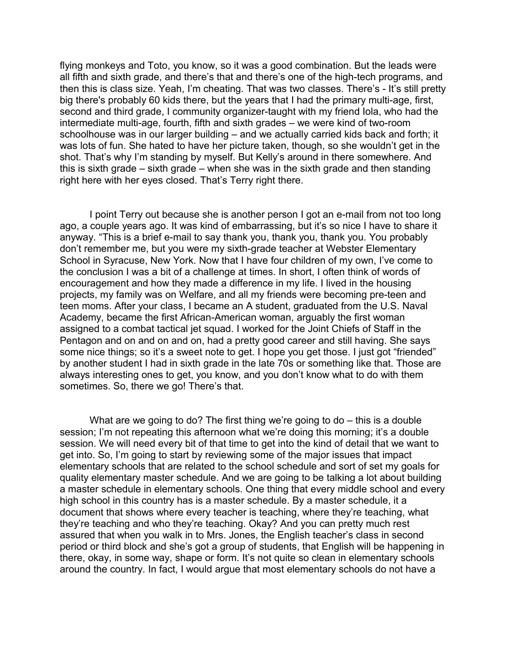flying monkeys and Toto, you know, so it was a good combination. But the leads were all fifth and sixth grade, and there's that and there's one of the high-tech programs, and then this is class size. Yeah, I'm cheating. That was two classes. There's - It's still pretty big there's probably 60 kids there, but the years that I had the primary multi-age, first, second and third grade, I community organizer-taught with my friend Iola, who had the intermediate multi-age, fourth, fifth and sixth grades – we were kind of two-room schoolhouse was in our larger building – and we actually carried kids back and forth; it was lots of fun. She hated to have her picture taken, though, so she wouldn't get in the shot. That's why I'm standing by myself. But Kelly's around in there somewhere. And this is sixth grade – sixth grade – when she was in the sixth grade and then standing right here with her eyes closed. That's Terry right there.

I point Terry out because she is another person I got an e-mail from not too long ago, a couple years ago. It was kind of embarrassing, but it's so nice I have to share it anyway. "This is a brief e-mail to say thank you, thank you, thank you. You probably don't remember me, but you were my sixth-grade teacher at Webster Elementary School in Syracuse, New York. Now that I have four children of my own, I've come to the conclusion I was a bit of a challenge at times. In short, I often think of words of encouragement and how they made a difference in my life. I lived in the housing projects, my family was on Welfare, and all my friends were becoming pre-teen and teen moms. After your class, I became an A student, graduated from the U.S. Naval Academy, became the first African-American woman, arguably the first woman assigned to a combat tactical jet squad. I worked for the Joint Chiefs of Staff in the Pentagon and on and on and on, had a pretty good career and still having. She says some nice things; so it's a sweet note to get. I hope you get those. I just got "friended" by another student I had in sixth grade in the late 70s or something like that. Those are always interesting ones to get, you know, and you don't know what to do with them sometimes. So, there we go! There's that.

What are we going to do? The first thing we're going to do – this is a double session; I'm not repeating this afternoon what we're doing this morning; it's a double session. We will need every bit of that time to get into the kind of detail that we want to get into. So, I'm going to start by reviewing some of the major issues that impact elementary schools that are related to the school schedule and sort of set my goals for quality elementary master schedule. And we are going to be talking a lot about building a master schedule in elementary schools. One thing that every middle school and every high school in this country has is a master schedule. By a master schedule, it a document that shows where every teacher is teaching, where they're teaching, what they're teaching and who they're teaching. Okay? And you can pretty much rest assured that when you walk in to Mrs. Jones, the English teacher's class in second period or third block and she's got a group of students, that English will be happening in there, okay, in some way, shape or form. It's not quite so clean in elementary schools around the country. In fact, I would argue that most elementary schools do not have a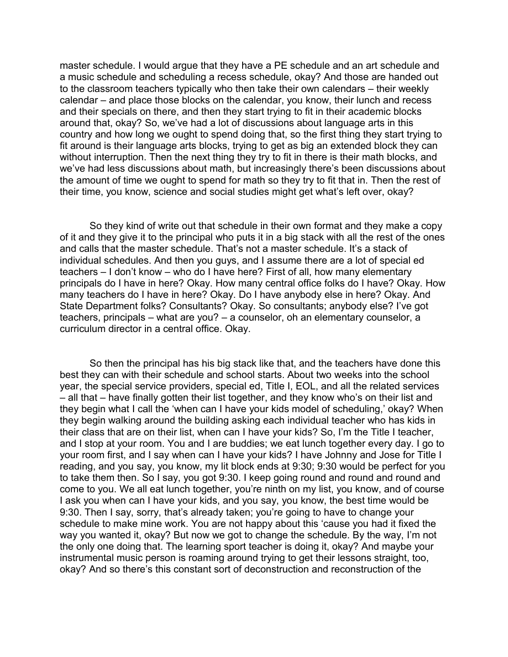master schedule. I would argue that they have a PE schedule and an art schedule and a music schedule and scheduling a recess schedule, okay? And those are handed out to the classroom teachers typically who then take their own calendars – their weekly calendar – and place those blocks on the calendar, you know, their lunch and recess and their specials on there, and then they start trying to fit in their academic blocks around that, okay? So, we've had a lot of discussions about language arts in this country and how long we ought to spend doing that, so the first thing they start trying to fit around is their language arts blocks, trying to get as big an extended block they can without interruption. Then the next thing they try to fit in there is their math blocks, and we've had less discussions about math, but increasingly there's been discussions about the amount of time we ought to spend for math so they try to fit that in. Then the rest of their time, you know, science and social studies might get what's left over, okay?

So they kind of write out that schedule in their own format and they make a copy of it and they give it to the principal who puts it in a big stack with all the rest of the ones and calls that the master schedule. That's not a master schedule. It's a stack of individual schedules. And then you guys, and I assume there are a lot of special ed teachers – I don't know – who do I have here? First of all, how many elementary principals do I have in here? Okay. How many central office folks do I have? Okay. How many teachers do I have in here? Okay. Do I have anybody else in here? Okay. And State Department folks? Consultants? Okay. So consultants; anybody else? I've got teachers, principals – what are you? – a counselor, oh an elementary counselor, a curriculum director in a central office. Okay.

So then the principal has his big stack like that, and the teachers have done this best they can with their schedule and school starts. About two weeks into the school year, the special service providers, special ed, Title I, EOL, and all the related services – all that – have finally gotten their list together, and they know who's on their list and they begin what I call the 'when can I have your kids model of scheduling,' okay? When they begin walking around the building asking each individual teacher who has kids in their class that are on their list, when can I have your kids? So, I'm the Title I teacher, and I stop at your room. You and I are buddies; we eat lunch together every day. I go to your room first, and I say when can I have your kids? I have Johnny and Jose for Title I reading, and you say, you know, my lit block ends at 9:30; 9:30 would be perfect for you to take them then. So I say, you got 9:30. I keep going round and round and round and come to you. We all eat lunch together, you're ninth on my list, you know, and of course I ask you when can I have your kids, and you say, you know, the best time would be 9:30. Then I say, sorry, that's already taken; you're going to have to change your schedule to make mine work. You are not happy about this 'cause you had it fixed the way you wanted it, okay? But now we got to change the schedule. By the way, I'm not the only one doing that. The learning sport teacher is doing it, okay? And maybe your instrumental music person is roaming around trying to get their lessons straight, too, okay? And so there's this constant sort of deconstruction and reconstruction of the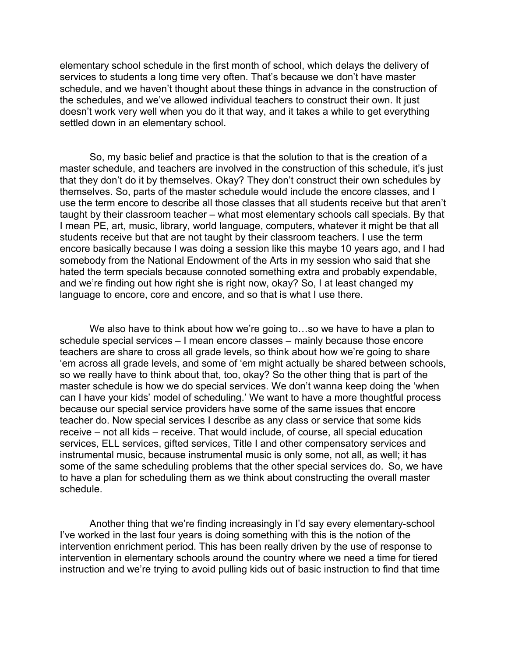elementary school schedule in the first month of school, which delays the delivery of services to students a long time very often. That's because we don't have master schedule, and we haven't thought about these things in advance in the construction of the schedules, and we've allowed individual teachers to construct their own. It just doesn't work very well when you do it that way, and it takes a while to get everything settled down in an elementary school.

So, my basic belief and practice is that the solution to that is the creation of a master schedule, and teachers are involved in the construction of this schedule, it's just that they don't do it by themselves. Okay? They don't construct their own schedules by themselves. So, parts of the master schedule would include the encore classes, and I use the term encore to describe all those classes that all students receive but that aren't taught by their classroom teacher – what most elementary schools call specials. By that I mean PE, art, music, library, world language, computers, whatever it might be that all students receive but that are not taught by their classroom teachers. I use the term encore basically because I was doing a session like this maybe 10 years ago, and I had somebody from the National Endowment of the Arts in my session who said that she hated the term specials because connoted something extra and probably expendable, and we're finding out how right she is right now, okay? So, I at least changed my language to encore, core and encore, and so that is what I use there.

We also have to think about how we're going to...so we have to have a plan to schedule special services – I mean encore classes – mainly because those encore teachers are share to cross all grade levels, so think about how we're going to share 'em across all grade levels, and some of 'em might actually be shared between schools, so we really have to think about that, too, okay? So the other thing that is part of the master schedule is how we do special services. We don't wanna keep doing the 'when can I have your kids' model of scheduling.' We want to have a more thoughtful process because our special service providers have some of the same issues that encore teacher do. Now special services I describe as any class or service that some kids receive – not all kids – receive. That would include, of course, all special education services, ELL services, gifted services, Title I and other compensatory services and instrumental music, because instrumental music is only some, not all, as well; it has some of the same scheduling problems that the other special services do. So, we have to have a plan for scheduling them as we think about constructing the overall master schedule.

Another thing that we're finding increasingly in I'd say every elementary-school I've worked in the last four years is doing something with this is the notion of the intervention enrichment period. This has been really driven by the use of response to intervention in elementary schools around the country where we need a time for tiered instruction and we're trying to avoid pulling kids out of basic instruction to find that time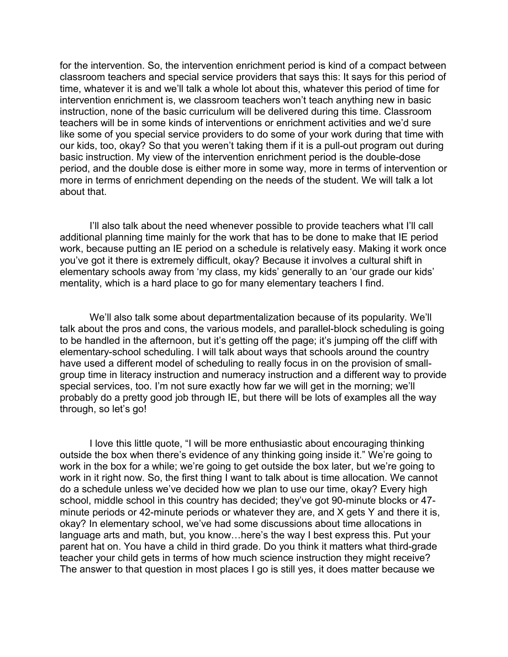for the intervention. So, the intervention enrichment period is kind of a compact between classroom teachers and special service providers that says this: It says for this period of time, whatever it is and we'll talk a whole lot about this, whatever this period of time for intervention enrichment is, we classroom teachers won't teach anything new in basic instruction, none of the basic curriculum will be delivered during this time. Classroom teachers will be in some kinds of interventions or enrichment activities and we'd sure like some of you special service providers to do some of your work during that time with our kids, too, okay? So that you weren't taking them if it is a pull-out program out during basic instruction. My view of the intervention enrichment period is the double-dose period, and the double dose is either more in some way, more in terms of intervention or more in terms of enrichment depending on the needs of the student. We will talk a lot about that.

I'll also talk about the need whenever possible to provide teachers what I'll call additional planning time mainly for the work that has to be done to make that IE period work, because putting an IE period on a schedule is relatively easy. Making it work once you've got it there is extremely difficult, okay? Because it involves a cultural shift in elementary schools away from 'my class, my kids' generally to an 'our grade our kids' mentality, which is a hard place to go for many elementary teachers I find.

We'll also talk some about departmentalization because of its popularity. We'll talk about the pros and cons, the various models, and parallel-block scheduling is going to be handled in the afternoon, but it's getting off the page; it's jumping off the cliff with elementary-school scheduling. I will talk about ways that schools around the country have used a different model of scheduling to really focus in on the provision of smallgroup time in literacy instruction and numeracy instruction and a different way to provide special services, too. I'm not sure exactly how far we will get in the morning; we'll probably do a pretty good job through IE, but there will be lots of examples all the way through, so let's go!

I love this little quote, "I will be more enthusiastic about encouraging thinking outside the box when there's evidence of any thinking going inside it." We're going to work in the box for a while; we're going to get outside the box later, but we're going to work in it right now. So, the first thing I want to talk about is time allocation. We cannot do a schedule unless we've decided how we plan to use our time, okay? Every high school, middle school in this country has decided; they've got 90-minute blocks or 47 minute periods or 42-minute periods or whatever they are, and X gets Y and there it is, okay? In elementary school, we've had some discussions about time allocations in language arts and math, but, you know…here's the way I best express this. Put your parent hat on. You have a child in third grade. Do you think it matters what third-grade teacher your child gets in terms of how much science instruction they might receive? The answer to that question in most places I go is still yes, it does matter because we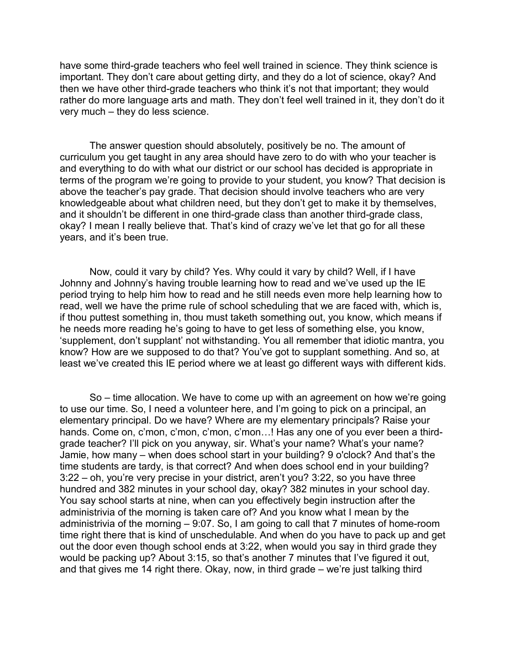have some third-grade teachers who feel well trained in science. They think science is important. They don't care about getting dirty, and they do a lot of science, okay? And then we have other third-grade teachers who think it's not that important; they would rather do more language arts and math. They don't feel well trained in it, they don't do it very much – they do less science.

The answer question should absolutely, positively be no. The amount of curriculum you get taught in any area should have zero to do with who your teacher is and everything to do with what our district or our school has decided is appropriate in terms of the program we're going to provide to your student, you know? That decision is above the teacher's pay grade. That decision should involve teachers who are very knowledgeable about what children need, but they don't get to make it by themselves, and it shouldn't be different in one third-grade class than another third-grade class, okay? I mean I really believe that. That's kind of crazy we've let that go for all these years, and it's been true.

Now, could it vary by child? Yes. Why could it vary by child? Well, if I have Johnny and Johnny's having trouble learning how to read and we've used up the IE period trying to help him how to read and he still needs even more help learning how to read, well we have the prime rule of school scheduling that we are faced with, which is, if thou puttest something in, thou must taketh something out, you know, which means if he needs more reading he's going to have to get less of something else, you know, 'supplement, don't supplant' not withstanding. You all remember that idiotic mantra, you know? How are we supposed to do that? You've got to supplant something. And so, at least we've created this IE period where we at least go different ways with different kids.

So – time allocation. We have to come up with an agreement on how we're going to use our time. So, I need a volunteer here, and I'm going to pick on a principal, an elementary principal. Do we have? Where are my elementary principals? Raise your hands. Come on, c'mon, c'mon, c'mon, c'mon…! Has any one of you ever been a thirdgrade teacher? I'll pick on you anyway, sir. What's your name? What's your name? Jamie, how many – when does school start in your building? 9 o'clock? And that's the time students are tardy, is that correct? And when does school end in your building? 3:22 – oh, you're very precise in your district, aren't you? 3:22, so you have three hundred and 382 minutes in your school day, okay? 382 minutes in your school day. You say school starts at nine, when can you effectively begin instruction after the administrivia of the morning is taken care of? And you know what I mean by the administrivia of the morning – 9:07. So, I am going to call that 7 minutes of home-room time right there that is kind of unschedulable. And when do you have to pack up and get out the door even though school ends at 3:22, when would you say in third grade they would be packing up? About 3:15, so that's another 7 minutes that I've figured it out, and that gives me 14 right there. Okay, now, in third grade – we're just talking third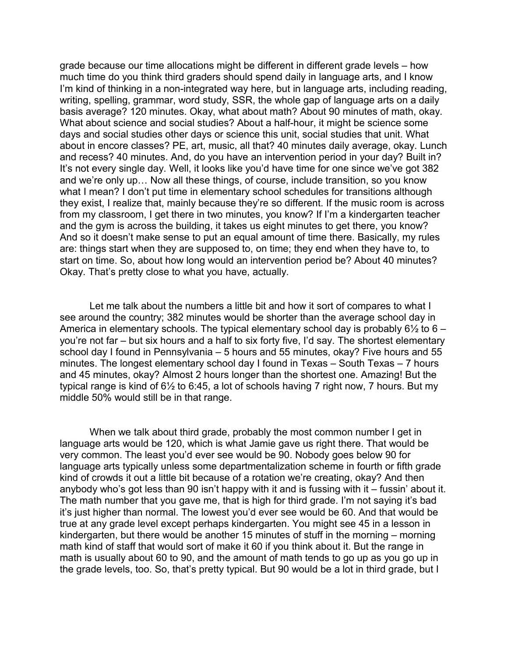grade because our time allocations might be different in different grade levels – how much time do you think third graders should spend daily in language arts, and I know I'm kind of thinking in a non-integrated way here, but in language arts, including reading, writing, spelling, grammar, word study, SSR, the whole gap of language arts on a daily basis average? 120 minutes. Okay, what about math? About 90 minutes of math, okay. What about science and social studies? About a half-hour, it might be science some days and social studies other days or science this unit, social studies that unit. What about in encore classes? PE, art, music, all that? 40 minutes daily average, okay. Lunch and recess? 40 minutes. And, do you have an intervention period in your day? Built in? It's not every single day. Well, it looks like you'd have time for one since we've got 382 and we're only up… Now all these things, of course, include transition, so you know what I mean? I don't put time in elementary school schedules for transitions although they exist, I realize that, mainly because they're so different. If the music room is across from my classroom, I get there in two minutes, you know? If I'm a kindergarten teacher and the gym is across the building, it takes us eight minutes to get there, you know? And so it doesn't make sense to put an equal amount of time there. Basically, my rules are: things start when they are supposed to, on time; they end when they have to, to start on time. So, about how long would an intervention period be? About 40 minutes? Okay. That's pretty close to what you have, actually.

Let me talk about the numbers a little bit and how it sort of compares to what I see around the country; 382 minutes would be shorter than the average school day in America in elementary schools. The typical elementary school day is probably  $6\frac{1}{2}$  to  $6$ you're not far – but six hours and a half to six forty five, I'd say. The shortest elementary school day I found in Pennsylvania – 5 hours and 55 minutes, okay? Five hours and 55 minutes. The longest elementary school day I found in Texas – South Texas – 7 hours and 45 minutes, okay? Almost 2 hours longer than the shortest one. Amazing! But the typical range is kind of 6½ to 6:45, a lot of schools having 7 right now, 7 hours. But my middle 50% would still be in that range.

When we talk about third grade, probably the most common number I get in language arts would be 120, which is what Jamie gave us right there. That would be very common. The least you'd ever see would be 90. Nobody goes below 90 for language arts typically unless some departmentalization scheme in fourth or fifth grade kind of crowds it out a little bit because of a rotation we're creating, okay? And then anybody who's got less than 90 isn't happy with it and is fussing with it – fussin' about it. The math number that you gave me, that is high for third grade. I'm not saying it's bad it's just higher than normal. The lowest you'd ever see would be 60. And that would be true at any grade level except perhaps kindergarten. You might see 45 in a lesson in kindergarten, but there would be another 15 minutes of stuff in the morning – morning math kind of staff that would sort of make it 60 if you think about it. But the range in math is usually about 60 to 90, and the amount of math tends to go up as you go up in the grade levels, too. So, that's pretty typical. But 90 would be a lot in third grade, but I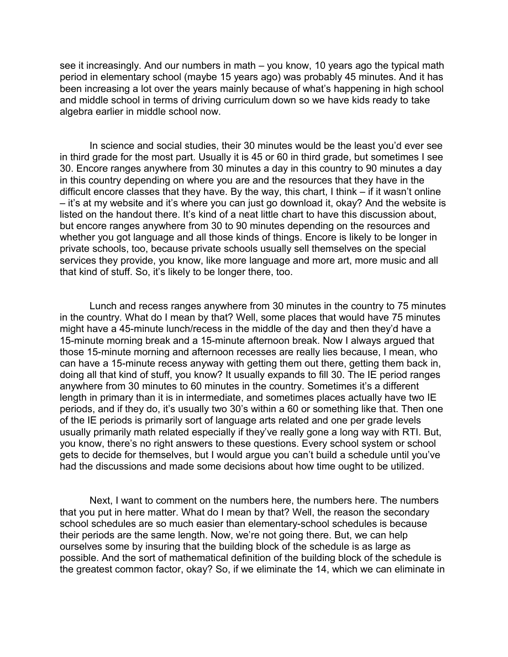see it increasingly. And our numbers in math – you know, 10 years ago the typical math period in elementary school (maybe 15 years ago) was probably 45 minutes. And it has been increasing a lot over the years mainly because of what's happening in high school and middle school in terms of driving curriculum down so we have kids ready to take algebra earlier in middle school now.

In science and social studies, their 30 minutes would be the least you'd ever see in third grade for the most part. Usually it is 45 or 60 in third grade, but sometimes I see 30. Encore ranges anywhere from 30 minutes a day in this country to 90 minutes a day in this country depending on where you are and the resources that they have in the difficult encore classes that they have. By the way, this chart, I think – if it wasn't online – it's at my website and it's where you can just go download it, okay? And the website is listed on the handout there. It's kind of a neat little chart to have this discussion about. but encore ranges anywhere from 30 to 90 minutes depending on the resources and whether you got language and all those kinds of things. Encore is likely to be longer in private schools, too, because private schools usually sell themselves on the special services they provide, you know, like more language and more art, more music and all that kind of stuff. So, it's likely to be longer there, too.

Lunch and recess ranges anywhere from 30 minutes in the country to 75 minutes in the country. What do I mean by that? Well, some places that would have 75 minutes might have a 45-minute lunch/recess in the middle of the day and then they'd have a 15-minute morning break and a 15-minute afternoon break. Now I always argued that those 15-minute morning and afternoon recesses are really lies because, I mean, who can have a 15-minute recess anyway with getting them out there, getting them back in, doing all that kind of stuff, you know? It usually expands to fill 30. The IE period ranges anywhere from 30 minutes to 60 minutes in the country. Sometimes it's a different length in primary than it is in intermediate, and sometimes places actually have two IE periods, and if they do, it's usually two 30's within a 60 or something like that. Then one of the IE periods is primarily sort of language arts related and one per grade levels usually primarily math related especially if they've really gone a long way with RTI. But, you know, there's no right answers to these questions. Every school system or school gets to decide for themselves, but I would argue you can't build a schedule until you've had the discussions and made some decisions about how time ought to be utilized.

Next, I want to comment on the numbers here, the numbers here. The numbers that you put in here matter. What do I mean by that? Well, the reason the secondary school schedules are so much easier than elementary-school schedules is because their periods are the same length. Now, we're not going there. But, we can help ourselves some by insuring that the building block of the schedule is as large as possible. And the sort of mathematical definition of the building block of the schedule is the greatest common factor, okay? So, if we eliminate the 14, which we can eliminate in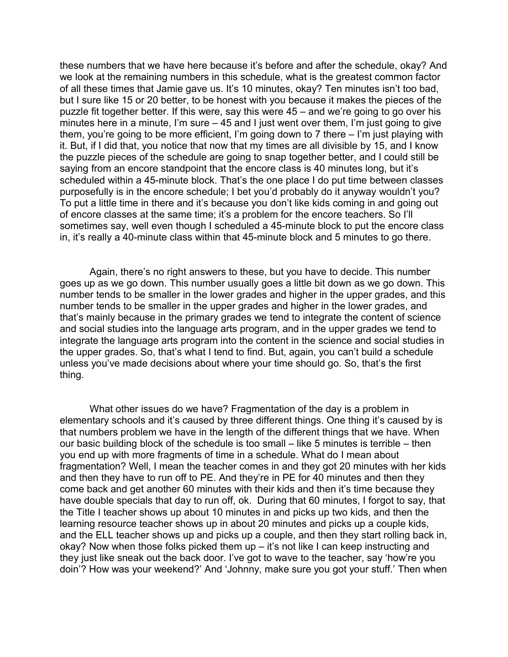these numbers that we have here because it's before and after the schedule, okay? And we look at the remaining numbers in this schedule, what is the greatest common factor of all these times that Jamie gave us. It's 10 minutes, okay? Ten minutes isn't too bad, but I sure like 15 or 20 better, to be honest with you because it makes the pieces of the puzzle fit together better. If this were, say this were 45 – and we're going to go over his minutes here in a minute, I'm sure – 45 and I just went over them, I'm just going to give them, you're going to be more efficient, I'm going down to 7 there – I'm just playing with it. But, if I did that, you notice that now that my times are all divisible by 15, and I know the puzzle pieces of the schedule are going to snap together better, and I could still be saying from an encore standpoint that the encore class is 40 minutes long, but it's scheduled within a 45-minute block. That's the one place I do put time between classes purposefully is in the encore schedule; I bet you'd probably do it anyway wouldn't you? To put a little time in there and it's because you don't like kids coming in and going out of encore classes at the same time; it's a problem for the encore teachers. So I'll sometimes say, well even though I scheduled a 45-minute block to put the encore class in, it's really a 40-minute class within that 45-minute block and 5 minutes to go there.

Again, there's no right answers to these, but you have to decide. This number goes up as we go down. This number usually goes a little bit down as we go down. This number tends to be smaller in the lower grades and higher in the upper grades, and this number tends to be smaller in the upper grades and higher in the lower grades, and that's mainly because in the primary grades we tend to integrate the content of science and social studies into the language arts program, and in the upper grades we tend to integrate the language arts program into the content in the science and social studies in the upper grades. So, that's what I tend to find. But, again, you can't build a schedule unless you've made decisions about where your time should go. So, that's the first thing.

What other issues do we have? Fragmentation of the day is a problem in elementary schools and it's caused by three different things. One thing it's caused by is that numbers problem we have in the length of the different things that we have. When our basic building block of the schedule is too small – like 5 minutes is terrible – then you end up with more fragments of time in a schedule. What do I mean about fragmentation? Well, I mean the teacher comes in and they got 20 minutes with her kids and then they have to run off to PE. And they're in PE for 40 minutes and then they come back and get another 60 minutes with their kids and then it's time because they have double specials that day to run off, ok. During that 60 minutes, I forgot to say, that the Title I teacher shows up about 10 minutes in and picks up two kids, and then the learning resource teacher shows up in about 20 minutes and picks up a couple kids, and the ELL teacher shows up and picks up a couple, and then they start rolling back in, okay? Now when those folks picked them up – it's not like I can keep instructing and they just like sneak out the back door. I've got to wave to the teacher, say 'how're you doin'? How was your weekend?' And 'Johnny, make sure you got your stuff.' Then when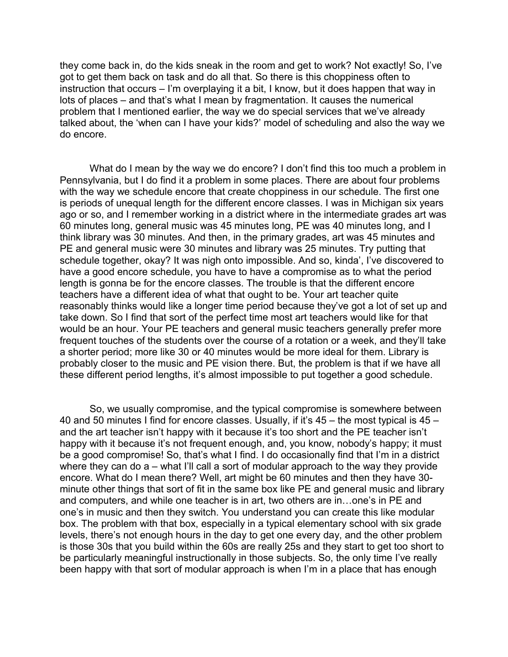they come back in, do the kids sneak in the room and get to work? Not exactly! So, I've got to get them back on task and do all that. So there is this choppiness often to instruction that occurs – I'm overplaying it a bit, I know, but it does happen that way in lots of places – and that's what I mean by fragmentation. It causes the numerical problem that I mentioned earlier, the way we do special services that we've already talked about, the 'when can I have your kids?' model of scheduling and also the way we do encore.

What do I mean by the way we do encore? I don't find this too much a problem in Pennsylvania, but I do find it a problem in some places. There are about four problems with the way we schedule encore that create choppiness in our schedule. The first one is periods of unequal length for the different encore classes. I was in Michigan six years ago or so, and I remember working in a district where in the intermediate grades art was 60 minutes long, general music was 45 minutes long, PE was 40 minutes long, and I think library was 30 minutes. And then, in the primary grades, art was 45 minutes and PE and general music were 30 minutes and library was 25 minutes. Try putting that schedule together, okay? It was nigh onto impossible. And so, kinda', I've discovered to have a good encore schedule, you have to have a compromise as to what the period length is gonna be for the encore classes. The trouble is that the different encore teachers have a different idea of what that ought to be. Your art teacher quite reasonably thinks would like a longer time period because they've got a lot of set up and take down. So I find that sort of the perfect time most art teachers would like for that would be an hour. Your PE teachers and general music teachers generally prefer more frequent touches of the students over the course of a rotation or a week, and they'll take a shorter period; more like 30 or 40 minutes would be more ideal for them. Library is probably closer to the music and PE vision there. But, the problem is that if we have all these different period lengths, it's almost impossible to put together a good schedule.

So, we usually compromise, and the typical compromise is somewhere between 40 and 50 minutes I find for encore classes. Usually, if it's 45 – the most typical is 45 – and the art teacher isn't happy with it because it's too short and the PE teacher isn't happy with it because it's not frequent enough, and, you know, nobody's happy; it must be a good compromise! So, that's what I find. I do occasionally find that I'm in a district where they can do a – what I'll call a sort of modular approach to the way they provide encore. What do I mean there? Well, art might be 60 minutes and then they have 30 minute other things that sort of fit in the same box like PE and general music and library and computers, and while one teacher is in art, two others are in…one's in PE and one's in music and then they switch. You understand you can create this like modular box. The problem with that box, especially in a typical elementary school with six grade levels, there's not enough hours in the day to get one every day, and the other problem is those 30s that you build within the 60s are really 25s and they start to get too short to be particularly meaningful instructionally in those subjects. So, the only time I've really been happy with that sort of modular approach is when I'm in a place that has enough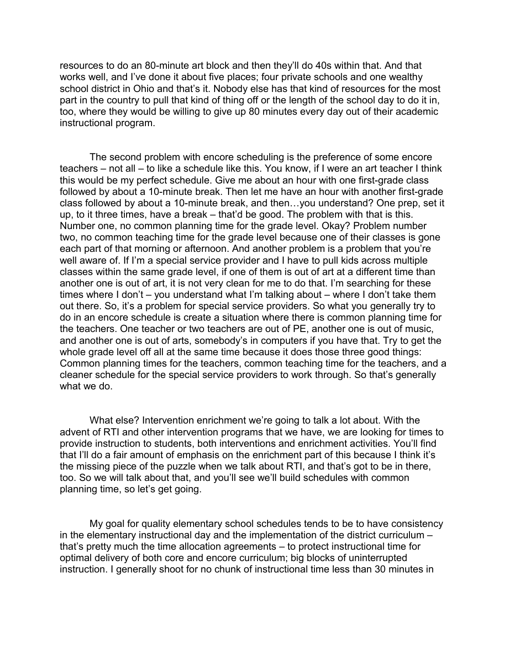resources to do an 80-minute art block and then they'll do 40s within that. And that works well, and I've done it about five places; four private schools and one wealthy school district in Ohio and that's it. Nobody else has that kind of resources for the most part in the country to pull that kind of thing off or the length of the school day to do it in, too, where they would be willing to give up 80 minutes every day out of their academic instructional program.

The second problem with encore scheduling is the preference of some encore teachers – not all – to like a schedule like this. You know, if I were an art teacher I think this would be my perfect schedule. Give me about an hour with one first-grade class followed by about a 10-minute break. Then let me have an hour with another first-grade class followed by about a 10-minute break, and then…you understand? One prep, set it up, to it three times, have a break – that'd be good. The problem with that is this. Number one, no common planning time for the grade level. Okay? Problem number two, no common teaching time for the grade level because one of their classes is gone each part of that morning or afternoon. And another problem is a problem that you're well aware of. If I'm a special service provider and I have to pull kids across multiple classes within the same grade level, if one of them is out of art at a different time than another one is out of art, it is not very clean for me to do that. I'm searching for these times where I don't – you understand what I'm talking about – where I don't take them out there. So, it's a problem for special service providers. So what you generally try to do in an encore schedule is create a situation where there is common planning time for the teachers. One teacher or two teachers are out of PE, another one is out of music, and another one is out of arts, somebody's in computers if you have that. Try to get the whole grade level off all at the same time because it does those three good things: Common planning times for the teachers, common teaching time for the teachers, and a cleaner schedule for the special service providers to work through. So that's generally what we do.

What else? Intervention enrichment we're going to talk a lot about. With the advent of RTI and other intervention programs that we have, we are looking for times to provide instruction to students, both interventions and enrichment activities. You'll find that I'll do a fair amount of emphasis on the enrichment part of this because I think it's the missing piece of the puzzle when we talk about RTI, and that's got to be in there, too. So we will talk about that, and you'll see we'll build schedules with common planning time, so let's get going.

My goal for quality elementary school schedules tends to be to have consistency in the elementary instructional day and the implementation of the district curriculum – that's pretty much the time allocation agreements – to protect instructional time for optimal delivery of both core and encore curriculum; big blocks of uninterrupted instruction. I generally shoot for no chunk of instructional time less than 30 minutes in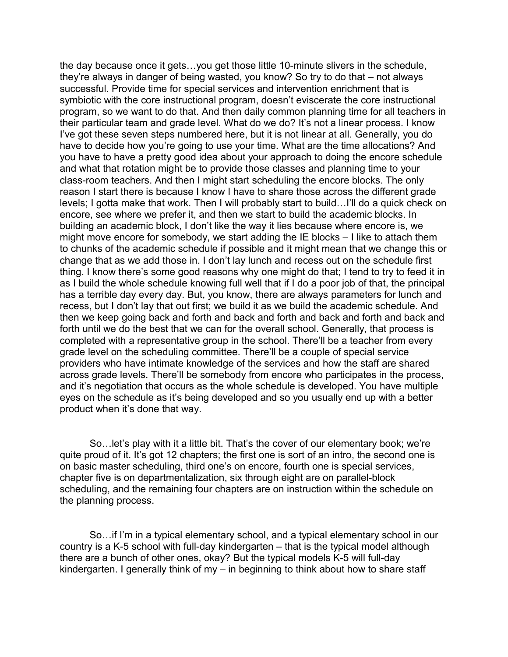the day because once it gets…you get those little 10-minute slivers in the schedule, they're always in danger of being wasted, you know? So try to do that – not always successful. Provide time for special services and intervention enrichment that is symbiotic with the core instructional program, doesn't eviscerate the core instructional program, so we want to do that. And then daily common planning time for all teachers in their particular team and grade level. What do we do? It's not a linear process. I know I've got these seven steps numbered here, but it is not linear at all. Generally, you do have to decide how you're going to use your time. What are the time allocations? And you have to have a pretty good idea about your approach to doing the encore schedule and what that rotation might be to provide those classes and planning time to your class-room teachers. And then I might start scheduling the encore blocks. The only reason I start there is because I know I have to share those across the different grade levels; I gotta make that work. Then I will probably start to build…I'll do a quick check on encore, see where we prefer it, and then we start to build the academic blocks. In building an academic block, I don't like the way it lies because where encore is, we might move encore for somebody, we start adding the IE blocks – I like to attach them to chunks of the academic schedule if possible and it might mean that we change this or change that as we add those in. I don't lay lunch and recess out on the schedule first thing. I know there's some good reasons why one might do that; I tend to try to feed it in as I build the whole schedule knowing full well that if I do a poor job of that, the principal has a terrible day every day. But, you know, there are always parameters for lunch and recess, but I don't lay that out first; we build it as we build the academic schedule. And then we keep going back and forth and back and forth and back and forth and back and forth until we do the best that we can for the overall school. Generally, that process is completed with a representative group in the school. There'll be a teacher from every grade level on the scheduling committee. There'll be a couple of special service providers who have intimate knowledge of the services and how the staff are shared across grade levels. There'll be somebody from encore who participates in the process, and it's negotiation that occurs as the whole schedule is developed. You have multiple eyes on the schedule as it's being developed and so you usually end up with a better product when it's done that way.

So…let's play with it a little bit. That's the cover of our elementary book; we're quite proud of it. It's got 12 chapters; the first one is sort of an intro, the second one is on basic master scheduling, third one's on encore, fourth one is special services, chapter five is on departmentalization, six through eight are on parallel-block scheduling, and the remaining four chapters are on instruction within the schedule on the planning process.

So…if I'm in a typical elementary school, and a typical elementary school in our country is a K-5 school with full-day kindergarten – that is the typical model although there are a bunch of other ones, okay? But the typical models K-5 will full-day kindergarten. I generally think of my – in beginning to think about how to share staff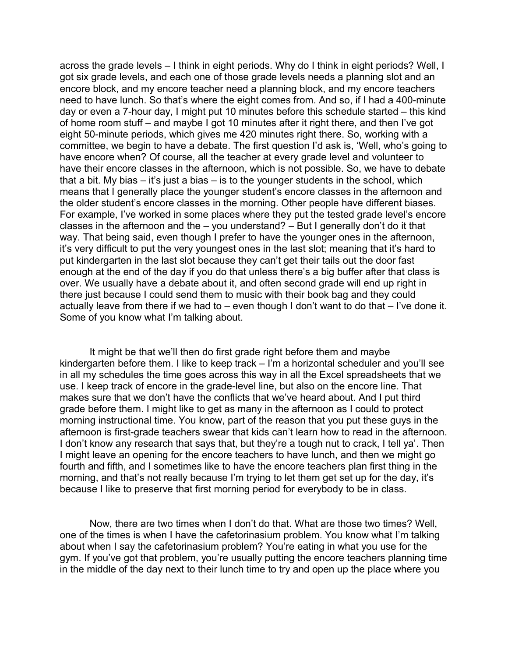across the grade levels – I think in eight periods. Why do I think in eight periods? Well, I got six grade levels, and each one of those grade levels needs a planning slot and an encore block, and my encore teacher need a planning block, and my encore teachers need to have lunch. So that's where the eight comes from. And so, if I had a 400-minute day or even a 7-hour day, I might put 10 minutes before this schedule started – this kind of home room stuff – and maybe I got 10 minutes after it right there, and then I've got eight 50-minute periods, which gives me 420 minutes right there. So, working with a committee, we begin to have a debate. The first question I'd ask is, 'Well, who's going to have encore when? Of course, all the teacher at every grade level and volunteer to have their encore classes in the afternoon, which is not possible. So, we have to debate that a bit. My bias – it's just a bias – is to the younger students in the school, which means that I generally place the younger student's encore classes in the afternoon and the older student's encore classes in the morning. Other people have different biases. For example, I've worked in some places where they put the tested grade level's encore classes in the afternoon and the – you understand? – But I generally don't do it that way. That being said, even though I prefer to have the younger ones in the afternoon, it's very difficult to put the very youngest ones in the last slot; meaning that it's hard to put kindergarten in the last slot because they can't get their tails out the door fast enough at the end of the day if you do that unless there's a big buffer after that class is over. We usually have a debate about it, and often second grade will end up right in there just because I could send them to music with their book bag and they could actually leave from there if we had to – even though I don't want to do that – I've done it. Some of you know what I'm talking about.

It might be that we'll then do first grade right before them and maybe kindergarten before them. I like to keep track – I'm a horizontal scheduler and you'll see in all my schedules the time goes across this way in all the Excel spreadsheets that we use. I keep track of encore in the grade-level line, but also on the encore line. That makes sure that we don't have the conflicts that we've heard about. And I put third grade before them. I might like to get as many in the afternoon as I could to protect morning instructional time. You know, part of the reason that you put these guys in the afternoon is first-grade teachers swear that kids can't learn how to read in the afternoon. I don't know any research that says that, but they're a tough nut to crack, I tell ya'. Then I might leave an opening for the encore teachers to have lunch, and then we might go fourth and fifth, and I sometimes like to have the encore teachers plan first thing in the morning, and that's not really because I'm trying to let them get set up for the day, it's because I like to preserve that first morning period for everybody to be in class.

Now, there are two times when I don't do that. What are those two times? Well, one of the times is when I have the cafetorinasium problem. You know what I'm talking about when I say the cafetorinasium problem? You're eating in what you use for the gym. If you've got that problem, you're usually putting the encore teachers planning time in the middle of the day next to their lunch time to try and open up the place where you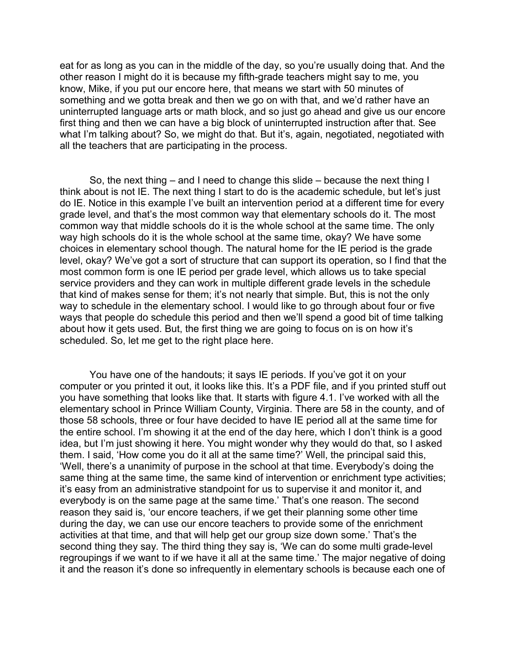eat for as long as you can in the middle of the day, so you're usually doing that. And the other reason I might do it is because my fifth-grade teachers might say to me, you know, Mike, if you put our encore here, that means we start with 50 minutes of something and we gotta break and then we go on with that, and we'd rather have an uninterrupted language arts or math block, and so just go ahead and give us our encore first thing and then we can have a big block of uninterrupted instruction after that. See what I'm talking about? So, we might do that. But it's, again, negotiated, negotiated with all the teachers that are participating in the process.

So, the next thing – and I need to change this slide – because the next thing I think about is not IE. The next thing I start to do is the academic schedule, but let's just do IE. Notice in this example I've built an intervention period at a different time for every grade level, and that's the most common way that elementary schools do it. The most common way that middle schools do it is the whole school at the same time. The only way high schools do it is the whole school at the same time, okay? We have some choices in elementary school though. The natural home for the IE period is the grade level, okay? We've got a sort of structure that can support its operation, so I find that the most common form is one IE period per grade level, which allows us to take special service providers and they can work in multiple different grade levels in the schedule that kind of makes sense for them; it's not nearly that simple. But, this is not the only way to schedule in the elementary school. I would like to go through about four or five ways that people do schedule this period and then we'll spend a good bit of time talking about how it gets used. But, the first thing we are going to focus on is on how it's scheduled. So, let me get to the right place here.

You have one of the handouts; it says IE periods. If you've got it on your computer or you printed it out, it looks like this. It's a PDF file, and if you printed stuff out you have something that looks like that. It starts with figure 4.1. I've worked with all the elementary school in Prince William County, Virginia. There are 58 in the county, and of those 58 schools, three or four have decided to have IE period all at the same time for the entire school. I'm showing it at the end of the day here, which I don't think is a good idea, but I'm just showing it here. You might wonder why they would do that, so I asked them. I said, 'How come you do it all at the same time?' Well, the principal said this, 'Well, there's a unanimity of purpose in the school at that time. Everybody's doing the same thing at the same time, the same kind of intervention or enrichment type activities; it's easy from an administrative standpoint for us to supervise it and monitor it, and everybody is on the same page at the same time.' That's one reason. The second reason they said is, 'our encore teachers, if we get their planning some other time during the day, we can use our encore teachers to provide some of the enrichment activities at that time, and that will help get our group size down some.' That's the second thing they say. The third thing they say is, 'We can do some multi grade-level regroupings if we want to if we have it all at the same time.' The major negative of doing it and the reason it's done so infrequently in elementary schools is because each one of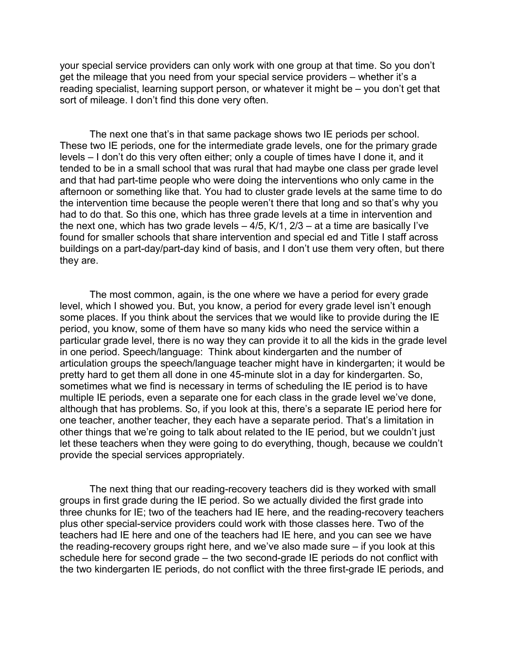your special service providers can only work with one group at that time. So you don't get the mileage that you need from your special service providers – whether it's a reading specialist, learning support person, or whatever it might be – you don't get that sort of mileage. I don't find this done very often.

The next one that's in that same package shows two IE periods per school. These two IE periods, one for the intermediate grade levels, one for the primary grade levels – I don't do this very often either; only a couple of times have I done it, and it tended to be in a small school that was rural that had maybe one class per grade level and that had part-time people who were doing the interventions who only came in the afternoon or something like that. You had to cluster grade levels at the same time to do the intervention time because the people weren't there that long and so that's why you had to do that. So this one, which has three grade levels at a time in intervention and the next one, which has two grade levels  $-4/5$ , K $/1$ , 2 $/3$  – at a time are basically I've found for smaller schools that share intervention and special ed and Title I staff across buildings on a part-day/part-day kind of basis, and I don't use them very often, but there they are.

The most common, again, is the one where we have a period for every grade level, which I showed you. But, you know, a period for every grade level isn't enough some places. If you think about the services that we would like to provide during the IE period, you know, some of them have so many kids who need the service within a particular grade level, there is no way they can provide it to all the kids in the grade level in one period. Speech/language: Think about kindergarten and the number of articulation groups the speech/language teacher might have in kindergarten; it would be pretty hard to get them all done in one 45-minute slot in a day for kindergarten. So, sometimes what we find is necessary in terms of scheduling the IE period is to have multiple IE periods, even a separate one for each class in the grade level we've done, although that has problems. So, if you look at this, there's a separate IE period here for one teacher, another teacher, they each have a separate period. That's a limitation in other things that we're going to talk about related to the IE period, but we couldn't just let these teachers when they were going to do everything, though, because we couldn't provide the special services appropriately.

The next thing that our reading-recovery teachers did is they worked with small groups in first grade during the IE period. So we actually divided the first grade into three chunks for IE; two of the teachers had IE here, and the reading-recovery teachers plus other special-service providers could work with those classes here. Two of the teachers had IE here and one of the teachers had IE here, and you can see we have the reading-recovery groups right here, and we've also made sure – if you look at this schedule here for second grade – the two second-grade IE periods do not conflict with the two kindergarten IE periods, do not conflict with the three first-grade IE periods, and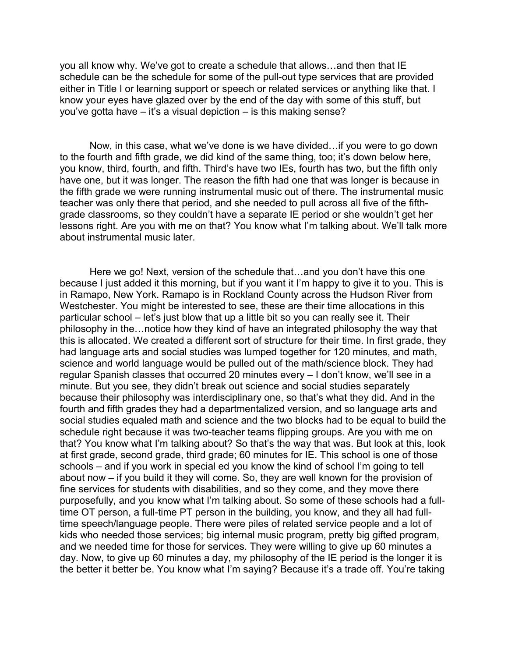you all know why. We've got to create a schedule that allows…and then that IE schedule can be the schedule for some of the pull-out type services that are provided either in Title I or learning support or speech or related services or anything like that. I know your eyes have glazed over by the end of the day with some of this stuff, but you've gotta have – it's a visual depiction – is this making sense?

Now, in this case, what we've done is we have divided…if you were to go down to the fourth and fifth grade, we did kind of the same thing, too; it's down below here, you know, third, fourth, and fifth. Third's have two IEs, fourth has two, but the fifth only have one, but it was longer. The reason the fifth had one that was longer is because in the fifth grade we were running instrumental music out of there. The instrumental music teacher was only there that period, and she needed to pull across all five of the fifthgrade classrooms, so they couldn't have a separate IE period or she wouldn't get her lessons right. Are you with me on that? You know what I'm talking about. We'll talk more about instrumental music later.

Here we go! Next, version of the schedule that…and you don't have this one because I just added it this morning, but if you want it I'm happy to give it to you. This is in Ramapo, New York. Ramapo is in Rockland County across the Hudson River from Westchester. You might be interested to see, these are their time allocations in this particular school – let's just blow that up a little bit so you can really see it. Their philosophy in the…notice how they kind of have an integrated philosophy the way that this is allocated. We created a different sort of structure for their time. In first grade, they had language arts and social studies was lumped together for 120 minutes, and math, science and world language would be pulled out of the math/science block. They had regular Spanish classes that occurred 20 minutes every – I don't know, we'll see in a minute. But you see, they didn't break out science and social studies separately because their philosophy was interdisciplinary one, so that's what they did. And in the fourth and fifth grades they had a departmentalized version, and so language arts and social studies equaled math and science and the two blocks had to be equal to build the schedule right because it was two-teacher teams flipping groups. Are you with me on that? You know what I'm talking about? So that's the way that was. But look at this, look at first grade, second grade, third grade; 60 minutes for IE. This school is one of those schools – and if you work in special ed you know the kind of school I'm going to tell about now – if you build it they will come. So, they are well known for the provision of fine services for students with disabilities, and so they come, and they move there purposefully, and you know what I'm talking about. So some of these schools had a fulltime OT person, a full-time PT person in the building, you know, and they all had fulltime speech/language people. There were piles of related service people and a lot of kids who needed those services; big internal music program, pretty big gifted program, and we needed time for those for services. They were willing to give up 60 minutes a day. Now, to give up 60 minutes a day, my philosophy of the IE period is the longer it is the better it better be. You know what I'm saying? Because it's a trade off. You're taking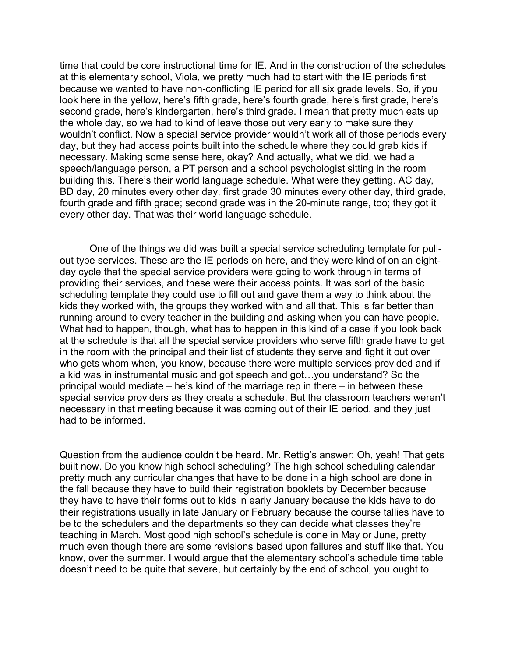time that could be core instructional time for IE. And in the construction of the schedules at this elementary school, Viola, we pretty much had to start with the IE periods first because we wanted to have non-conflicting IE period for all six grade levels. So, if you look here in the yellow, here's fifth grade, here's fourth grade, here's first grade, here's second grade, here's kindergarten, here's third grade. I mean that pretty much eats up the whole day, so we had to kind of leave those out very early to make sure they wouldn't conflict. Now a special service provider wouldn't work all of those periods every day, but they had access points built into the schedule where they could grab kids if necessary. Making some sense here, okay? And actually, what we did, we had a speech/language person, a PT person and a school psychologist sitting in the room building this. There's their world language schedule. What were they getting. AC day, BD day, 20 minutes every other day, first grade 30 minutes every other day, third grade, fourth grade and fifth grade; second grade was in the 20-minute range, too; they got it every other day. That was their world language schedule.

One of the things we did was built a special service scheduling template for pullout type services. These are the IE periods on here, and they were kind of on an eightday cycle that the special service providers were going to work through in terms of providing their services, and these were their access points. It was sort of the basic scheduling template they could use to fill out and gave them a way to think about the kids they worked with, the groups they worked with and all that. This is far better than running around to every teacher in the building and asking when you can have people. What had to happen, though, what has to happen in this kind of a case if you look back at the schedule is that all the special service providers who serve fifth grade have to get in the room with the principal and their list of students they serve and fight it out over who gets whom when, you know, because there were multiple services provided and if a kid was in instrumental music and got speech and got…you understand? So the principal would mediate – he's kind of the marriage rep in there – in between these special service providers as they create a schedule. But the classroom teachers weren't necessary in that meeting because it was coming out of their IE period, and they just had to be informed.

Question from the audience couldn't be heard. Mr. Rettig's answer: Oh, yeah! That gets built now. Do you know high school scheduling? The high school scheduling calendar pretty much any curricular changes that have to be done in a high school are done in the fall because they have to build their registration booklets by December because they have to have their forms out to kids in early January because the kids have to do their registrations usually in late January or February because the course tallies have to be to the schedulers and the departments so they can decide what classes they're teaching in March. Most good high school's schedule is done in May or June, pretty much even though there are some revisions based upon failures and stuff like that. You know, over the summer. I would argue that the elementary school's schedule time table doesn't need to be quite that severe, but certainly by the end of school, you ought to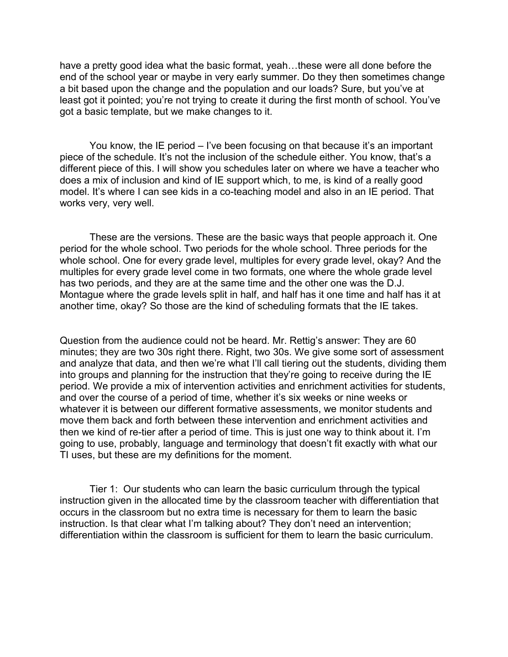have a pretty good idea what the basic format, yeah…these were all done before the end of the school year or maybe in very early summer. Do they then sometimes change a bit based upon the change and the population and our loads? Sure, but you've at least got it pointed; you're not trying to create it during the first month of school. You've got a basic template, but we make changes to it.

You know, the IE period – I've been focusing on that because it's an important piece of the schedule. It's not the inclusion of the schedule either. You know, that's a different piece of this. I will show you schedules later on where we have a teacher who does a mix of inclusion and kind of IE support which, to me, is kind of a really good model. It's where I can see kids in a co-teaching model and also in an IE period. That works very, very well.

These are the versions. These are the basic ways that people approach it. One period for the whole school. Two periods for the whole school. Three periods for the whole school. One for every grade level, multiples for every grade level, okay? And the multiples for every grade level come in two formats, one where the whole grade level has two periods, and they are at the same time and the other one was the D.J. Montague where the grade levels split in half, and half has it one time and half has it at another time, okay? So those are the kind of scheduling formats that the IE takes.

Question from the audience could not be heard. Mr. Rettig's answer: They are 60 minutes; they are two 30s right there. Right, two 30s. We give some sort of assessment and analyze that data, and then we're what I'll call tiering out the students, dividing them into groups and planning for the instruction that they're going to receive during the IE period. We provide a mix of intervention activities and enrichment activities for students, and over the course of a period of time, whether it's six weeks or nine weeks or whatever it is between our different formative assessments, we monitor students and move them back and forth between these intervention and enrichment activities and then we kind of re-tier after a period of time. This is just one way to think about it. I'm going to use, probably, language and terminology that doesn't fit exactly with what our TI uses, but these are my definitions for the moment.

Tier 1: Our students who can learn the basic curriculum through the typical instruction given in the allocated time by the classroom teacher with differentiation that occurs in the classroom but no extra time is necessary for them to learn the basic instruction. Is that clear what I'm talking about? They don't need an intervention; differentiation within the classroom is sufficient for them to learn the basic curriculum.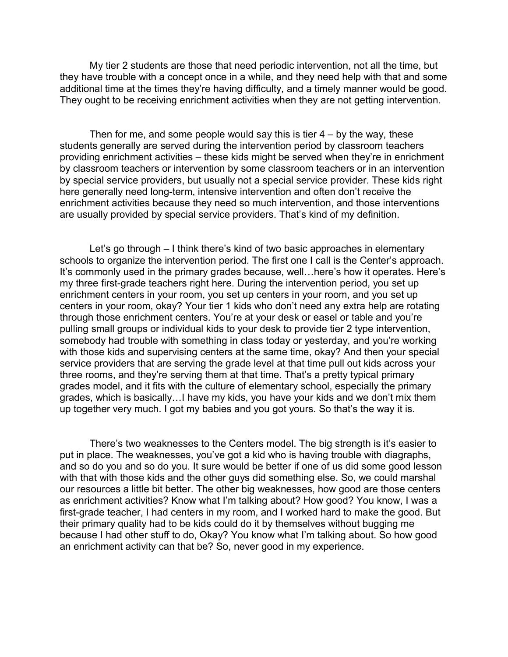My tier 2 students are those that need periodic intervention, not all the time, but they have trouble with a concept once in a while, and they need help with that and some additional time at the times they're having difficulty, and a timely manner would be good. They ought to be receiving enrichment activities when they are not getting intervention.

Then for me, and some people would say this is tier  $4 - by$  the way, these students generally are served during the intervention period by classroom teachers providing enrichment activities – these kids might be served when they're in enrichment by classroom teachers or intervention by some classroom teachers or in an intervention by special service providers, but usually not a special service provider. These kids right here generally need long-term, intensive intervention and often don't receive the enrichment activities because they need so much intervention, and those interventions are usually provided by special service providers. That's kind of my definition.

Let's go through – I think there's kind of two basic approaches in elementary schools to organize the intervention period. The first one I call is the Center's approach. It's commonly used in the primary grades because, well…here's how it operates. Here's my three first-grade teachers right here. During the intervention period, you set up enrichment centers in your room, you set up centers in your room, and you set up centers in your room, okay? Your tier 1 kids who don't need any extra help are rotating through those enrichment centers. You're at your desk or easel or table and you're pulling small groups or individual kids to your desk to provide tier 2 type intervention, somebody had trouble with something in class today or yesterday, and you're working with those kids and supervising centers at the same time, okay? And then your special service providers that are serving the grade level at that time pull out kids across your three rooms, and they're serving them at that time. That's a pretty typical primary grades model, and it fits with the culture of elementary school, especially the primary grades, which is basically…I have my kids, you have your kids and we don't mix them up together very much. I got my babies and you got yours. So that's the way it is.

There's two weaknesses to the Centers model. The big strength is it's easier to put in place. The weaknesses, you've got a kid who is having trouble with diagraphs, and so do you and so do you. It sure would be better if one of us did some good lesson with that with those kids and the other guys did something else. So, we could marshal our resources a little bit better. The other big weaknesses, how good are those centers as enrichment activities? Know what I'm talking about? How good? You know, I was a first-grade teacher, I had centers in my room, and I worked hard to make the good. But their primary quality had to be kids could do it by themselves without bugging me because I had other stuff to do, Okay? You know what I'm talking about. So how good an enrichment activity can that be? So, never good in my experience.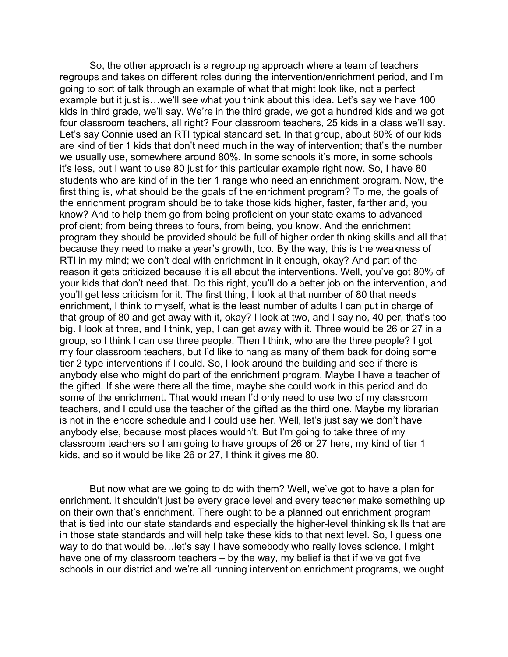So, the other approach is a regrouping approach where a team of teachers regroups and takes on different roles during the intervention/enrichment period, and I'm going to sort of talk through an example of what that might look like, not a perfect example but it just is…we'll see what you think about this idea. Let's say we have 100 kids in third grade, we'll say. We're in the third grade, we got a hundred kids and we got four classroom teachers, all right? Four classroom teachers, 25 kids in a class we'll say. Let's say Connie used an RTI typical standard set. In that group, about 80% of our kids are kind of tier 1 kids that don't need much in the way of intervention; that's the number we usually use, somewhere around 80%. In some schools it's more, in some schools it's less, but I want to use 80 just for this particular example right now. So, I have 80 students who are kind of in the tier 1 range who need an enrichment program. Now, the first thing is, what should be the goals of the enrichment program? To me, the goals of the enrichment program should be to take those kids higher, faster, farther and, you know? And to help them go from being proficient on your state exams to advanced proficient; from being threes to fours, from being, you know. And the enrichment program they should be provided should be full of higher order thinking skills and all that because they need to make a year's growth, too. By the way, this is the weakness of RTI in my mind; we don't deal with enrichment in it enough, okay? And part of the reason it gets criticized because it is all about the interventions. Well, you've got 80% of your kids that don't need that. Do this right, you'll do a better job on the intervention, and you'll get less criticism for it. The first thing, I look at that number of 80 that needs enrichment, I think to myself, what is the least number of adults I can put in charge of that group of 80 and get away with it, okay? I look at two, and I say no, 40 per, that's too big. I look at three, and I think, yep, I can get away with it. Three would be 26 or 27 in a group, so I think I can use three people. Then I think, who are the three people? I got my four classroom teachers, but I'd like to hang as many of them back for doing some tier 2 type interventions if I could. So, I look around the building and see if there is anybody else who might do part of the enrichment program. Maybe I have a teacher of the gifted. If she were there all the time, maybe she could work in this period and do some of the enrichment. That would mean I'd only need to use two of my classroom teachers, and I could use the teacher of the gifted as the third one. Maybe my librarian is not in the encore schedule and I could use her. Well, let's just say we don't have anybody else, because most places wouldn't. But I'm going to take three of my classroom teachers so I am going to have groups of 26 or 27 here, my kind of tier 1 kids, and so it would be like 26 or 27, I think it gives me 80.

But now what are we going to do with them? Well, we've got to have a plan for enrichment. It shouldn't just be every grade level and every teacher make something up on their own that's enrichment. There ought to be a planned out enrichment program that is tied into our state standards and especially the higher-level thinking skills that are in those state standards and will help take these kids to that next level. So, I guess one way to do that would be... let's say I have somebody who really loves science. I might have one of my classroom teachers – by the way, my belief is that if we've got five schools in our district and we're all running intervention enrichment programs, we ought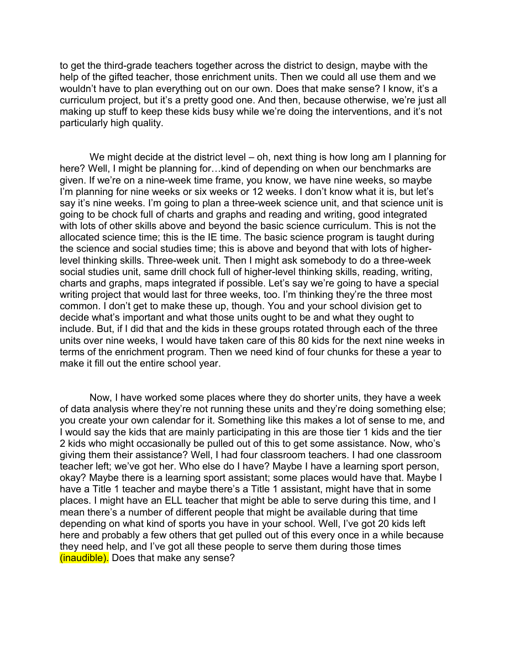to get the third-grade teachers together across the district to design, maybe with the help of the gifted teacher, those enrichment units. Then we could all use them and we wouldn't have to plan everything out on our own. Does that make sense? I know, it's a curriculum project, but it's a pretty good one. And then, because otherwise, we're just all making up stuff to keep these kids busy while we're doing the interventions, and it's not particularly high quality.

We might decide at the district level – oh, next thing is how long am I planning for here? Well, I might be planning for...kind of depending on when our benchmarks are given. If we're on a nine-week time frame, you know, we have nine weeks, so maybe I'm planning for nine weeks or six weeks or 12 weeks. I don't know what it is, but let's say it's nine weeks. I'm going to plan a three-week science unit, and that science unit is going to be chock full of charts and graphs and reading and writing, good integrated with lots of other skills above and beyond the basic science curriculum. This is not the allocated science time; this is the IE time. The basic science program is taught during the science and social studies time; this is above and beyond that with lots of higherlevel thinking skills. Three-week unit. Then I might ask somebody to do a three-week social studies unit, same drill chock full of higher-level thinking skills, reading, writing, charts and graphs, maps integrated if possible. Let's say we're going to have a special writing project that would last for three weeks, too. I'm thinking they're the three most common. I don't get to make these up, though. You and your school division get to decide what's important and what those units ought to be and what they ought to include. But, if I did that and the kids in these groups rotated through each of the three units over nine weeks, I would have taken care of this 80 kids for the next nine weeks in terms of the enrichment program. Then we need kind of four chunks for these a year to make it fill out the entire school year.

Now, I have worked some places where they do shorter units, they have a week of data analysis where they're not running these units and they're doing something else; you create your own calendar for it. Something like this makes a lot of sense to me, and I would say the kids that are mainly participating in this are those tier 1 kids and the tier 2 kids who might occasionally be pulled out of this to get some assistance. Now, who's giving them their assistance? Well, I had four classroom teachers. I had one classroom teacher left; we've got her. Who else do I have? Maybe I have a learning sport person, okay? Maybe there is a learning sport assistant; some places would have that. Maybe I have a Title 1 teacher and maybe there's a Title 1 assistant, might have that in some places. I might have an ELL teacher that might be able to serve during this time, and I mean there's a number of different people that might be available during that time depending on what kind of sports you have in your school. Well, I've got 20 kids left here and probably a few others that get pulled out of this every once in a while because they need help, and I've got all these people to serve them during those times (inaudible). Does that make any sense?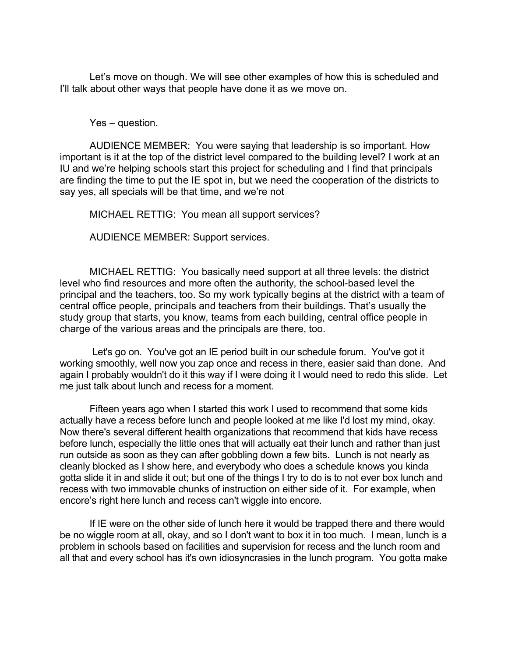Let's move on though. We will see other examples of how this is scheduled and I'll talk about other ways that people have done it as we move on.

Yes – question.

AUDIENCE MEMBER: You were saying that leadership is so important. How important is it at the top of the district level compared to the building level? I work at an IU and we're helping schools start this project for scheduling and I find that principals are finding the time to put the IE spot in, but we need the cooperation of the districts to say yes, all specials will be that time, and we're not

MICHAEL RETTIG: You mean all support services?

AUDIENCE MEMBER: Support services.

MICHAEL RETTIG: You basically need support at all three levels: the district level who find resources and more often the authority, the school-based level the principal and the teachers, too. So my work typically begins at the district with a team of central office people, principals and teachers from their buildings. That's usually the study group that starts, you know, teams from each building, central office people in charge of the various areas and the principals are there, too.

 Let's go on. You've got an IE period built in our schedule forum. You've got it working smoothly, well now you zap once and recess in there, easier said than done. And again I probably wouldn't do it this way if I were doing it I would need to redo this slide. Let me just talk about lunch and recess for a moment.

Fifteen years ago when I started this work I used to recommend that some kids actually have a recess before lunch and people looked at me like I'd lost my mind, okay. Now there's several different health organizations that recommend that kids have recess before lunch, especially the little ones that will actually eat their lunch and rather than just run outside as soon as they can after gobbling down a few bits. Lunch is not nearly as cleanly blocked as I show here, and everybody who does a schedule knows you kinda gotta slide it in and slide it out; but one of the things I try to do is to not ever box lunch and recess with two immovable chunks of instruction on either side of it. For example, when encore's right here lunch and recess can't wiggle into encore.

If IE were on the other side of lunch here it would be trapped there and there would be no wiggle room at all, okay, and so I don't want to box it in too much. I mean, lunch is a problem in schools based on facilities and supervision for recess and the lunch room and all that and every school has it's own idiosyncrasies in the lunch program. You gotta make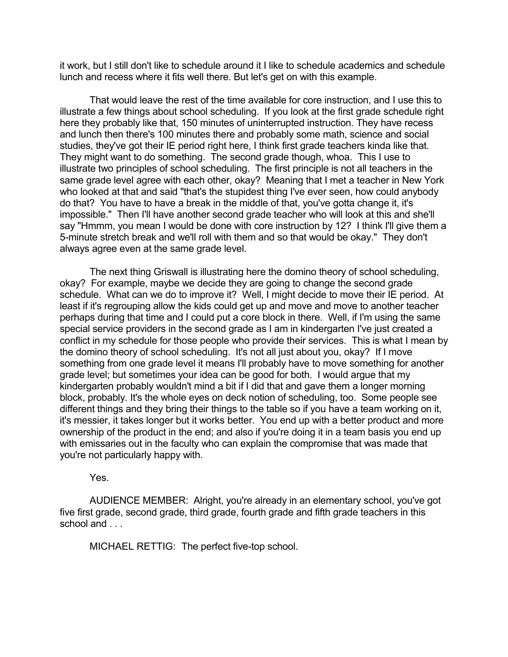it work, but I still don't like to schedule around it I like to schedule academics and schedule lunch and recess where it fits well there. But let's get on with this example.

That would leave the rest of the time available for core instruction, and I use this to illustrate a few things about school scheduling. If you look at the first grade schedule right here they probably like that, 150 minutes of uninterrupted instruction. They have recess and lunch then there's 100 minutes there and probably some math, science and social studies, they've got their IE period right here, I think first grade teachers kinda like that. They might want to do something. The second grade though, whoa. This I use to illustrate two principles of school scheduling. The first principle is not all teachers in the same grade level agree with each other, okay? Meaning that I met a teacher in New York who looked at that and said "that's the stupidest thing I've ever seen, how could anybody do that? You have to have a break in the middle of that, you've gotta change it, it's impossible." Then I'll have another second grade teacher who will look at this and she'll say "Hmmm, you mean I would be done with core instruction by 12? I think I'll give them a 5-minute stretch break and we'll roll with them and so that would be okay." They don't always agree even at the same grade level.

The next thing Griswall is illustrating here the domino theory of school scheduling, okay? For example, maybe we decide they are going to change the second grade schedule. What can we do to improve it? Well, I might decide to move their IE period. At least if it's regrouping allow the kids could get up and move and move to another teacher perhaps during that time and I could put a core block in there. Well, if I'm using the same special service providers in the second grade as I am in kindergarten I've just created a conflict in my schedule for those people who provide their services. This is what I mean by the domino theory of school scheduling. It's not all just about you, okay? If I move something from one grade level it means I'll probably have to move something for another grade level; but sometimes your idea can be good for both. I would argue that my kindergarten probably wouldn't mind a bit if I did that and gave them a longer morning block, probably. It's the whole eyes on deck notion of scheduling, too. Some people see different things and they bring their things to the table so if you have a team working on it, it's messier, it takes longer but it works better. You end up with a better product and more ownership of the product in the end; and also if you're doing it in a team basis you end up with emissaries out in the faculty who can explain the compromise that was made that you're not particularly happy with.

Yes.

AUDIENCE MEMBER: Alright, you're already in an elementary school, you've got five first grade, second grade, third grade, fourth grade and fifth grade teachers in this school and ...

MICHAEL RETTIG: The perfect five-top school.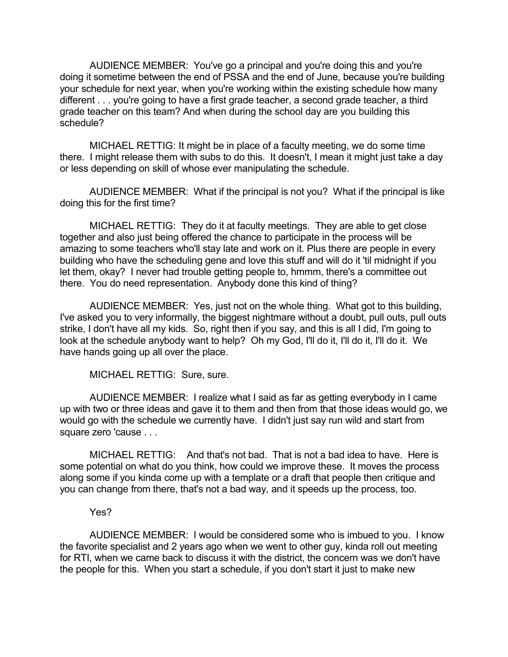AUDIENCE MEMBER: You've go a principal and you're doing this and you're doing it sometime between the end of PSSA and the end of June, because you're building your schedule for next year, when you're working within the existing schedule how many different . . . you're going to have a first grade teacher, a second grade teacher, a third grade teacher on this team? And when during the school day are you building this schedule?

MICHAEL RETTIG: It might be in place of a faculty meeting, we do some time there. I might release them with subs to do this. It doesn't, I mean it might just take a day or less depending on skill of whose ever manipulating the schedule.

AUDIENCE MEMBER: What if the principal is not you? What if the principal is like doing this for the first time?

MICHAEL RETTIG: They do it at faculty meetings. They are able to get close together and also just being offered the chance to participate in the process will be amazing to some teachers who'll stay late and work on it. Plus there are people in every building who have the scheduling gene and love this stuff and will do it 'til midnight if you let them, okay? I never had trouble getting people to, hmmm, there's a committee out there. You do need representation. Anybody done this kind of thing?

AUDIENCE MEMBER: Yes, just not on the whole thing. What got to this building, I've asked you to very informally, the biggest nightmare without a doubt, pull outs, pull outs strike, I don't have all my kids. So, right then if you say, and this is all I did, I'm going to look at the schedule anybody want to help? Oh my God, I'll do it, I'll do it, I'll do it. We have hands going up all over the place.

MICHAEL RETTIG: Sure, sure.

AUDIENCE MEMBER: I realize what I said as far as getting everybody in I came up with two or three ideas and gave it to them and then from that those ideas would go, we would go with the schedule we currently have. I didn't just say run wild and start from square zero 'cause . . .

MICHAEL RETTIG: And that's not bad. That is not a bad idea to have. Here is some potential on what do you think, how could we improve these. It moves the process along some if you kinda come up with a template or a draft that people then critique and you can change from there, that's not a bad way, and it speeds up the process, too.

## Yes?

AUDIENCE MEMBER: I would be considered some who is imbued to you. I know the favorite specialist and 2 years ago when we went to other guy, kinda roll out meeting for RTI, when we came back to discuss it with the district, the concern was we don't have the people for this. When you start a schedule, if you don't start it just to make new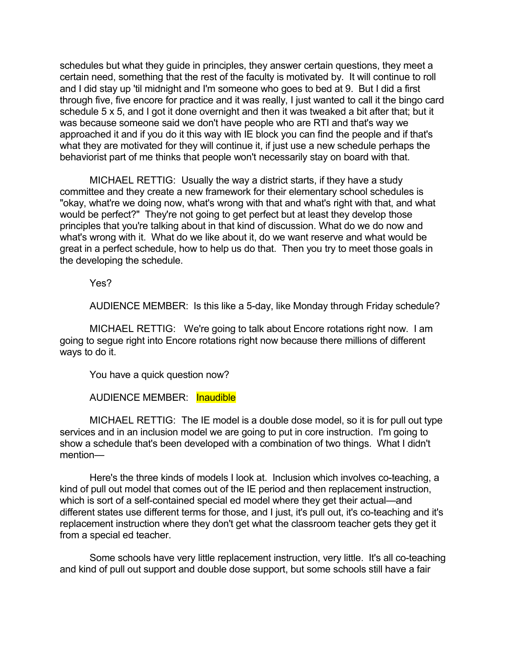schedules but what they guide in principles, they answer certain questions, they meet a certain need, something that the rest of the faculty is motivated by. It will continue to roll and I did stay up 'til midnight and I'm someone who goes to bed at 9. But I did a first through five, five encore for practice and it was really, I just wanted to call it the bingo card schedule 5 x 5, and I got it done overnight and then it was tweaked a bit after that; but it was because someone said we don't have people who are RTI and that's way we approached it and if you do it this way with IE block you can find the people and if that's what they are motivated for they will continue it, if just use a new schedule perhaps the behaviorist part of me thinks that people won't necessarily stay on board with that.

MICHAEL RETTIG: Usually the way a district starts, if they have a study committee and they create a new framework for their elementary school schedules is "okay, what're we doing now, what's wrong with that and what's right with that, and what would be perfect?" They're not going to get perfect but at least they develop those principles that you're talking about in that kind of discussion. What do we do now and what's wrong with it. What do we like about it, do we want reserve and what would be great in a perfect schedule, how to help us do that. Then you try to meet those goals in the developing the schedule.

Yes?

AUDIENCE MEMBER: Is this like a 5-day, like Monday through Friday schedule?

MICHAEL RETTIG: We're going to talk about Encore rotations right now. I am going to segue right into Encore rotations right now because there millions of different ways to do it.

You have a quick question now?

AUDIENCE MEMBER: Inaudible

MICHAEL RETTIG: The IE model is a double dose model, so it is for pull out type services and in an inclusion model we are going to put in core instruction. I'm going to show a schedule that's been developed with a combination of two things. What I didn't mention—

Here's the three kinds of models I look at. Inclusion which involves co-teaching, a kind of pull out model that comes out of the IE period and then replacement instruction, which is sort of a self-contained special ed model where they get their actual—and different states use different terms for those, and I just, it's pull out, it's co-teaching and it's replacement instruction where they don't get what the classroom teacher gets they get it from a special ed teacher.

Some schools have very little replacement instruction, very little. It's all co-teaching and kind of pull out support and double dose support, but some schools still have a fair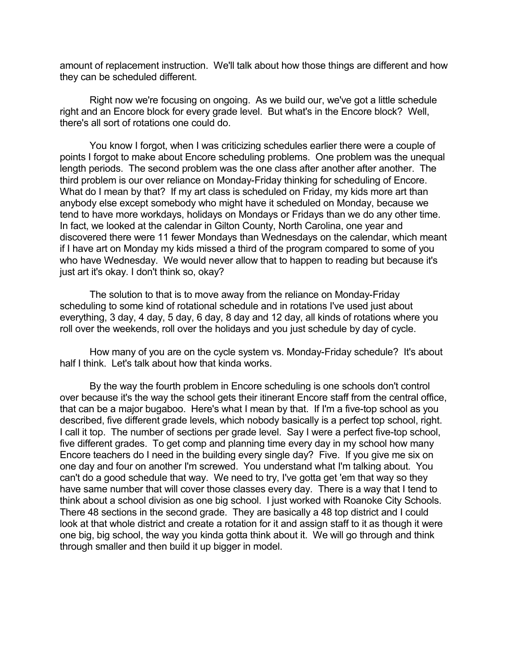amount of replacement instruction. We'll talk about how those things are different and how they can be scheduled different.

Right now we're focusing on ongoing. As we build our, we've got a little schedule right and an Encore block for every grade level. But what's in the Encore block? Well, there's all sort of rotations one could do.

You know I forgot, when I was criticizing schedules earlier there were a couple of points I forgot to make about Encore scheduling problems. One problem was the unequal length periods. The second problem was the one class after another after another. The third problem is our over reliance on Monday-Friday thinking for scheduling of Encore. What do I mean by that? If my art class is scheduled on Friday, my kids more art than anybody else except somebody who might have it scheduled on Monday, because we tend to have more workdays, holidays on Mondays or Fridays than we do any other time. In fact, we looked at the calendar in Gilton County, North Carolina, one year and discovered there were 11 fewer Mondays than Wednesdays on the calendar, which meant if I have art on Monday my kids missed a third of the program compared to some of you who have Wednesday. We would never allow that to happen to reading but because it's just art it's okay. I don't think so, okay?

The solution to that is to move away from the reliance on Monday-Friday scheduling to some kind of rotational schedule and in rotations I've used just about everything, 3 day, 4 day, 5 day, 6 day, 8 day and 12 day, all kinds of rotations where you roll over the weekends, roll over the holidays and you just schedule by day of cycle.

How many of you are on the cycle system vs. Monday-Friday schedule? It's about half I think. Let's talk about how that kinda works.

By the way the fourth problem in Encore scheduling is one schools don't control over because it's the way the school gets their itinerant Encore staff from the central office, that can be a major bugaboo. Here's what I mean by that. If I'm a five-top school as you described, five different grade levels, which nobody basically is a perfect top school, right. I call it top. The number of sections per grade level. Say I were a perfect five-top school, five different grades. To get comp and planning time every day in my school how many Encore teachers do I need in the building every single day? Five. If you give me six on one day and four on another I'm screwed. You understand what I'm talking about. You can't do a good schedule that way. We need to try, I've gotta get 'em that way so they have same number that will cover those classes every day. There is a way that I tend to think about a school division as one big school. I just worked with Roanoke City Schools. There 48 sections in the second grade. They are basically a 48 top district and I could look at that whole district and create a rotation for it and assign staff to it as though it were one big, big school, the way you kinda gotta think about it. We will go through and think through smaller and then build it up bigger in model.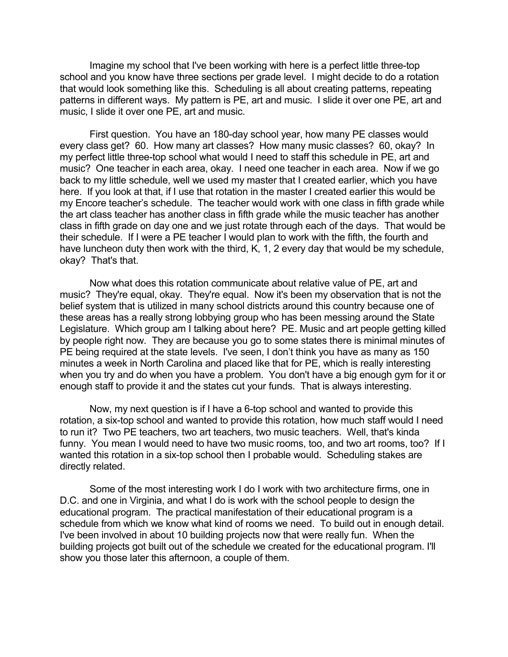Imagine my school that I've been working with here is a perfect little three-top school and you know have three sections per grade level. I might decide to do a rotation that would look something like this. Scheduling is all about creating patterns, repeating patterns in different ways. My pattern is PE, art and music. I slide it over one PE, art and music, I slide it over one PE, art and music.

First question. You have an 180-day school year, how many PE classes would every class get? 60. How many art classes? How many music classes? 60, okay? In my perfect little three-top school what would I need to staff this schedule in PE, art and music? One teacher in each area, okay. I need one teacher in each area. Now if we go back to my little schedule, well we used my master that I created earlier, which you have here. If you look at that, if I use that rotation in the master I created earlier this would be my Encore teacher's schedule. The teacher would work with one class in fifth grade while the art class teacher has another class in fifth grade while the music teacher has another class in fifth grade on day one and we just rotate through each of the days. That would be their schedule. If I were a PE teacher I would plan to work with the fifth, the fourth and have luncheon duty then work with the third, K, 1, 2 every day that would be my schedule, okay? That's that.

Now what does this rotation communicate about relative value of PE, art and music? They're equal, okay. They're equal. Now it's been my observation that is not the belief system that is utilized in many school districts around this country because one of these areas has a really strong lobbying group who has been messing around the State Legislature. Which group am I talking about here? PE. Music and art people getting killed by people right now. They are because you go to some states there is minimal minutes of PE being required at the state levels. I've seen, I don't think you have as many as 150 minutes a week in North Carolina and placed like that for PE, which is really interesting when you try and do when you have a problem. You don't have a big enough gym for it or enough staff to provide it and the states cut your funds. That is always interesting.

Now, my next question is if I have a 6-top school and wanted to provide this rotation, a six-top school and wanted to provide this rotation, how much staff would I need to run it? Two PE teachers, two art teachers, two music teachers. Well, that's kinda funny. You mean I would need to have two music rooms, too, and two art rooms, too? If I wanted this rotation in a six-top school then I probable would. Scheduling stakes are directly related.

Some of the most interesting work I do I work with two architecture firms, one in D.C. and one in Virginia, and what I do is work with the school people to design the educational program. The practical manifestation of their educational program is a schedule from which we know what kind of rooms we need. To build out in enough detail. I've been involved in about 10 building projects now that were really fun. When the building projects got built out of the schedule we created for the educational program. I'll show you those later this afternoon, a couple of them.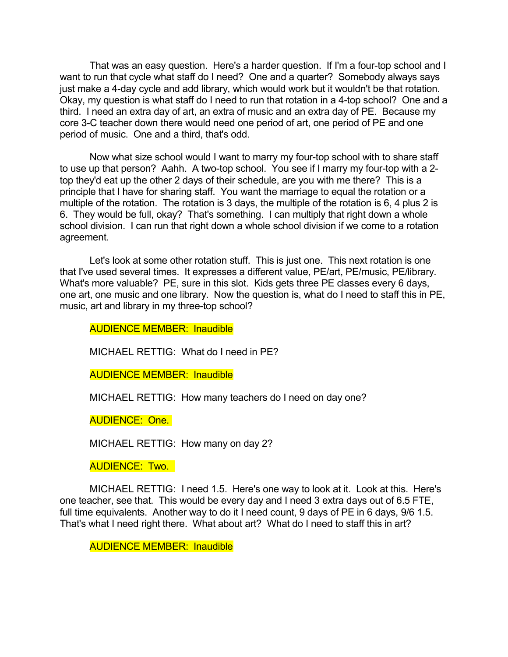That was an easy question. Here's a harder question. If I'm a four-top school and I want to run that cycle what staff do I need? One and a quarter? Somebody always says just make a 4-day cycle and add library, which would work but it wouldn't be that rotation. Okay, my question is what staff do I need to run that rotation in a 4-top school? One and a third. I need an extra day of art, an extra of music and an extra day of PE. Because my core 3-C teacher down there would need one period of art, one period of PE and one period of music. One and a third, that's odd.

Now what size school would I want to marry my four-top school with to share staff to use up that person? Aahh. A two-top school. You see if I marry my four-top with a 2 top they'd eat up the other 2 days of their schedule, are you with me there? This is a principle that I have for sharing staff. You want the marriage to equal the rotation or a multiple of the rotation. The rotation is 3 days, the multiple of the rotation is 6, 4 plus 2 is 6. They would be full, okay? That's something. I can multiply that right down a whole school division. I can run that right down a whole school division if we come to a rotation agreement.

Let's look at some other rotation stuff. This is just one. This next rotation is one that I've used several times. It expresses a different value, PE/art, PE/music, PE/library. What's more valuable? PE, sure in this slot. Kids gets three PE classes every 6 days, one art, one music and one library. Now the question is, what do I need to staff this in PE, music, art and library in my three-top school?

AUDIENCE MEMBER: Inaudible

MICHAEL RETTIG: What do I need in PE?

AUDIENCE MEMBER: Inaudible

MICHAEL RETTIG: How many teachers do I need on day one?

AUDIENCE: One.

MICHAEL RETTIG: How many on day 2?

AUDIENCE: Two.

MICHAEL RETTIG: I need 1.5. Here's one way to look at it. Look at this. Here's one teacher, see that. This would be every day and I need 3 extra days out of 6.5 FTE, full time equivalents. Another way to do it I need count, 9 days of PE in 6 days, 9/6 1.5. That's what I need right there. What about art? What do I need to staff this in art?

AUDIENCE MEMBER: Inaudible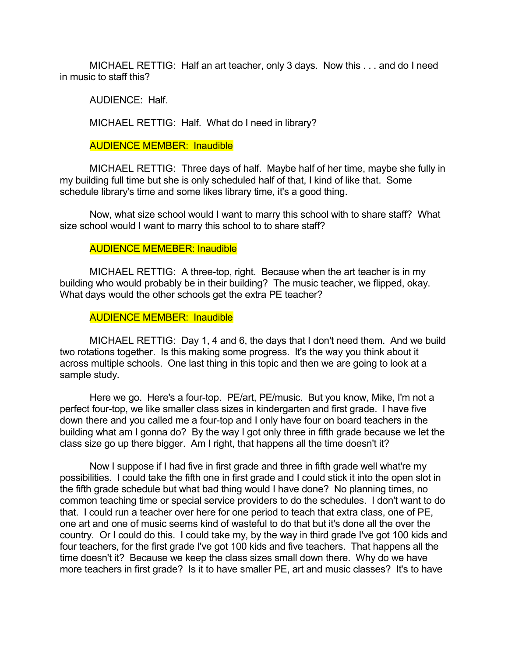MICHAEL RETTIG: Half an art teacher, only 3 days. Now this . . . and do I need in music to staff this?

AUDIENCE: Half.

MICHAEL RETTIG: Half. What do I need in library?

AUDIENCE MEMBER: Inaudible

MICHAEL RETTIG: Three days of half. Maybe half of her time, maybe she fully in my building full time but she is only scheduled half of that, I kind of like that. Some schedule library's time and some likes library time, it's a good thing.

Now, what size school would I want to marry this school with to share staff? What size school would I want to marry this school to to share staff?

## AUDIENCE MEMEBER: Inaudible

MICHAEL RETTIG: A three-top, right. Because when the art teacher is in my building who would probably be in their building? The music teacher, we flipped, okay. What days would the other schools get the extra PE teacher?

AUDIENCE MEMBER: Inaudible

MICHAEL RETTIG: Day 1, 4 and 6, the days that I don't need them. And we build two rotations together. Is this making some progress. It's the way you think about it across multiple schools. One last thing in this topic and then we are going to look at a sample study.

Here we go. Here's a four-top. PE/art, PE/music. But you know, Mike, I'm not a perfect four-top, we like smaller class sizes in kindergarten and first grade. I have five down there and you called me a four-top and I only have four on board teachers in the building what am I gonna do? By the way I got only three in fifth grade because we let the class size go up there bigger. Am I right, that happens all the time doesn't it?

Now I suppose if I had five in first grade and three in fifth grade well what're my possibilities. I could take the fifth one in first grade and I could stick it into the open slot in the fifth grade schedule but what bad thing would I have done? No planning times, no common teaching time or special service providers to do the schedules. I don't want to do that. I could run a teacher over here for one period to teach that extra class, one of PE, one art and one of music seems kind of wasteful to do that but it's done all the over the country. Or I could do this. I could take my, by the way in third grade I've got 100 kids and four teachers, for the first grade I've got 100 kids and five teachers. That happens all the time doesn't it? Because we keep the class sizes small down there. Why do we have more teachers in first grade? Is it to have smaller PE, art and music classes? It's to have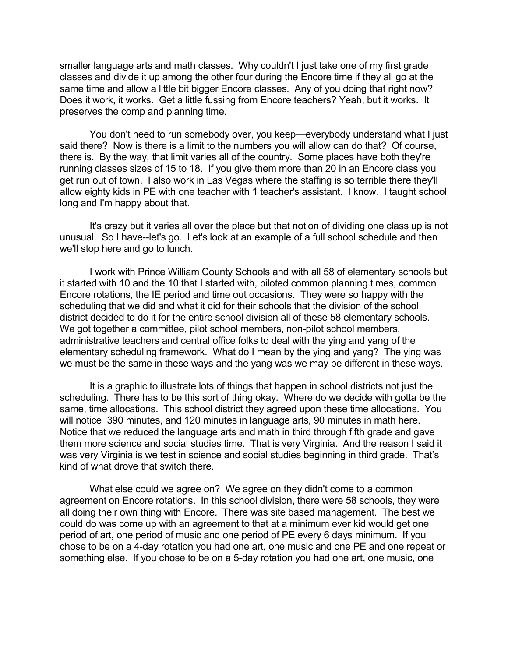smaller language arts and math classes. Why couldn't I just take one of my first grade classes and divide it up among the other four during the Encore time if they all go at the same time and allow a little bit bigger Encore classes. Any of you doing that right now? Does it work, it works. Get a little fussing from Encore teachers? Yeah, but it works. It preserves the comp and planning time.

You don't need to run somebody over, you keep—everybody understand what I just said there? Now is there is a limit to the numbers you will allow can do that? Of course, there is. By the way, that limit varies all of the country. Some places have both they're running classes sizes of 15 to 18. If you give them more than 20 in an Encore class you get run out of town. I also work in Las Vegas where the staffing is so terrible there they'll allow eighty kids in PE with one teacher with 1 teacher's assistant. I know. I taught school long and I'm happy about that.

It's crazy but it varies all over the place but that notion of dividing one class up is not unusual. So I have--let's go. Let's look at an example of a full school schedule and then we'll stop here and go to lunch.

I work with Prince William County Schools and with all 58 of elementary schools but it started with 10 and the 10 that I started with, piloted common planning times, common Encore rotations, the IE period and time out occasions. They were so happy with the scheduling that we did and what it did for their schools that the division of the school district decided to do it for the entire school division all of these 58 elementary schools. We got together a committee, pilot school members, non-pilot school members, administrative teachers and central office folks to deal with the ying and yang of the elementary scheduling framework. What do I mean by the ying and yang? The ying was we must be the same in these ways and the yang was we may be different in these ways.

It is a graphic to illustrate lots of things that happen in school districts not just the scheduling. There has to be this sort of thing okay. Where do we decide with gotta be the same, time allocations. This school district they agreed upon these time allocations. You will notice 390 minutes, and 120 minutes in language arts, 90 minutes in math here. Notice that we reduced the language arts and math in third through fifth grade and gave them more science and social studies time. That is very Virginia. And the reason I said it was very Virginia is we test in science and social studies beginning in third grade. That's kind of what drove that switch there.

What else could we agree on? We agree on they didn't come to a common agreement on Encore rotations. In this school division, there were 58 schools, they were all doing their own thing with Encore. There was site based management. The best we could do was come up with an agreement to that at a minimum ever kid would get one period of art, one period of music and one period of PE every 6 days minimum. If you chose to be on a 4-day rotation you had one art, one music and one PE and one repeat or something else. If you chose to be on a 5-day rotation you had one art, one music, one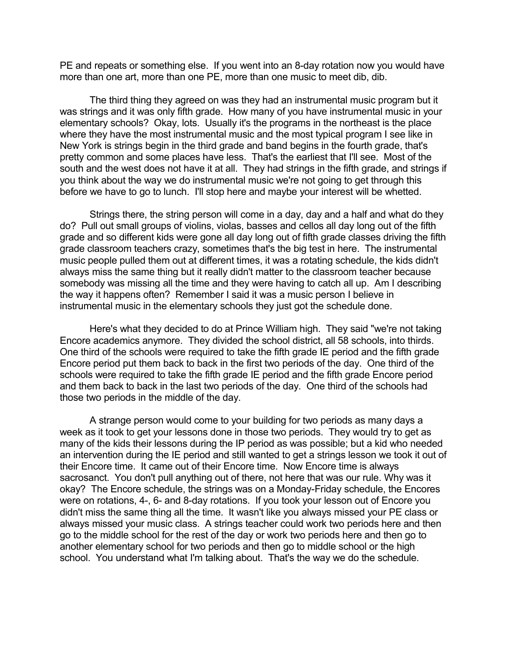PE and repeats or something else. If you went into an 8-day rotation now you would have more than one art, more than one PE, more than one music to meet dib, dib.

The third thing they agreed on was they had an instrumental music program but it was strings and it was only fifth grade. How many of you have instrumental music in your elementary schools? Okay, lots. Usually it's the programs in the northeast is the place where they have the most instrumental music and the most typical program I see like in New York is strings begin in the third grade and band begins in the fourth grade, that's pretty common and some places have less. That's the earliest that I'll see. Most of the south and the west does not have it at all. They had strings in the fifth grade, and strings if you think about the way we do instrumental music we're not going to get through this before we have to go to lunch. I'll stop here and maybe your interest will be whetted.

Strings there, the string person will come in a day, day and a half and what do they do? Pull out small groups of violins, violas, basses and cellos all day long out of the fifth grade and so different kids were gone all day long out of fifth grade classes driving the fifth grade classroom teachers crazy, sometimes that's the big test in here. The instrumental music people pulled them out at different times, it was a rotating schedule, the kids didn't always miss the same thing but it really didn't matter to the classroom teacher because somebody was missing all the time and they were having to catch all up. Am I describing the way it happens often? Remember I said it was a music person I believe in instrumental music in the elementary schools they just got the schedule done.

Here's what they decided to do at Prince William high. They said "we're not taking Encore academics anymore. They divided the school district, all 58 schools, into thirds. One third of the schools were required to take the fifth grade IE period and the fifth grade Encore period put them back to back in the first two periods of the day. One third of the schools were required to take the fifth grade IE period and the fifth grade Encore period and them back to back in the last two periods of the day. One third of the schools had those two periods in the middle of the day.

A strange person would come to your building for two periods as many days a week as it took to get your lessons done in those two periods. They would try to get as many of the kids their lessons during the IP period as was possible; but a kid who needed an intervention during the IE period and still wanted to get a strings lesson we took it out of their Encore time. It came out of their Encore time. Now Encore time is always sacrosanct. You don't pull anything out of there, not here that was our rule. Why was it okay? The Encore schedule, the strings was on a Monday-Friday schedule, the Encores were on rotations, 4-, 6- and 8-day rotations. If you took your lesson out of Encore you didn't miss the same thing all the time. It wasn't like you always missed your PE class or always missed your music class. A strings teacher could work two periods here and then go to the middle school for the rest of the day or work two periods here and then go to another elementary school for two periods and then go to middle school or the high school. You understand what I'm talking about. That's the way we do the schedule.